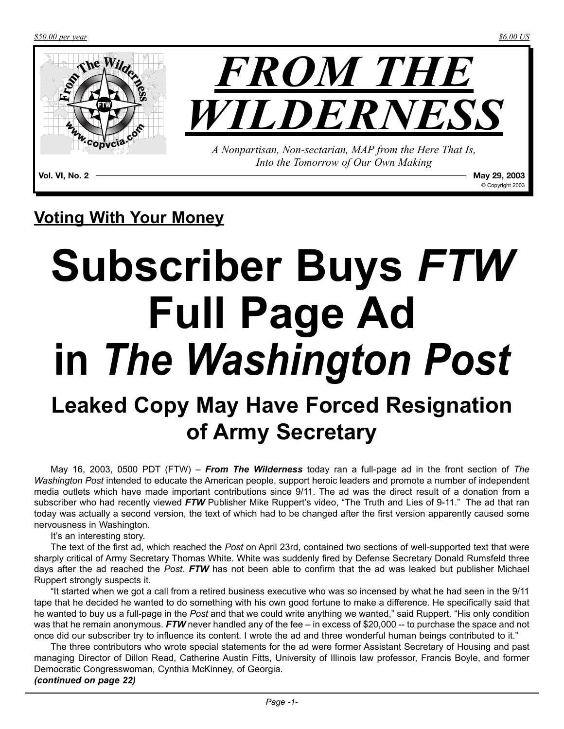*\$50.00 per year \$6.00 US*



### **Voting With Your Money**

# **Subscriber Buys** *FTW*  **Full Page Ad in** *The Washington Post*

## **Leaked Copy May Have Forced Resignation of Army Secretary**

May 16, 2003, 0500 PDT (FTW) – *From The Wilderness* today ran a full-page ad in the front section of *The Washington Post* intended to educate the American people, support heroic leaders and promote a number of independent media outlets which have made important contributions since 9/11. The ad was the direct result of a donation from a subscriber who had recently viewed *FTW* Publisher Mike Ruppert's video, "The Truth and Lies of 9-11." The ad that ran today was actually a second version, the text of which had to be changed after the first version apparently caused some nervousness in Washington.

It's an interesting story.

The text of the first ad, which reached the *Post* on April 23rd, contained two sections of well-supported text that were sharply critical of Army Secretary Thomas White. White was suddenly fired by Defense Secretary Donald Rumsfeld three days after the ad reached the *Post*. *FTW* has not been able to confirm that the ad was leaked but publisher Michael Ruppert strongly suspects it.

"It started when we got a call from a retired business executive who was so incensed by what he had seen in the 9/11 tape that he decided he wanted to do something with his own good fortune to make a difference. He specifically said that he wanted to buy us a full-page in the *Post* and that we could write anything we wanted," said Ruppert. "His only condition was that he remain anonymous. *FTW* never handled any of the fee – in excess of \$20,000 -- to purchase the space and not once did our subscriber try to influence its content. I wrote the ad and three wonderful human beings contributed to it."

The three contributors who wrote special statements for the ad were former Assistant Secretary of Housing and past managing Director of Dillon Read, Catherine Austin Fitts, University of Illinois law professor, Francis Boyle, and former Democratic Congresswoman, Cynthia McKinney, of Georgia. *(continued on page 22)*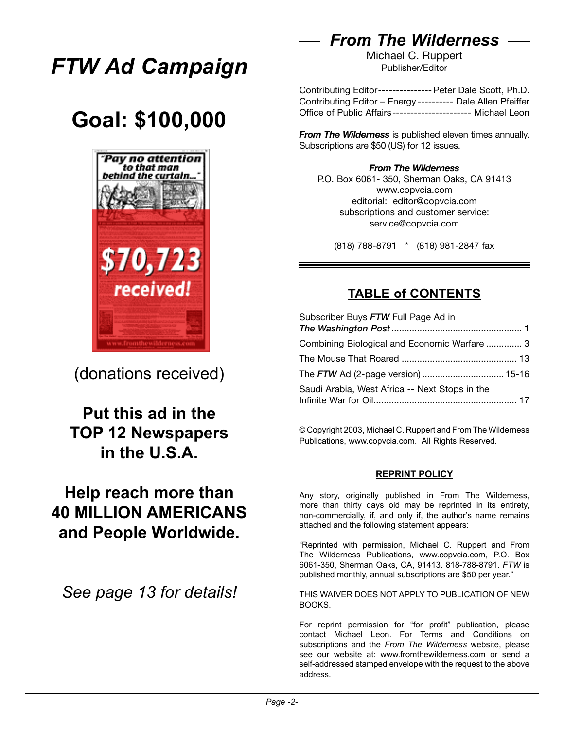## *FTW Ad Campaign*

## **Goal: \$100,000**



(donations received)

**Put this ad in the TOP 12 Newspapers in the U.S.A.**

### **Help reach more than 40 MILLION AMERICANS and People Worldwide.**

*See page 13 for details!*

### *From The Wilderness*

Michael C. Ruppert Publisher/Editor

Contributing Editor--------------- Peter Dale Scott, Ph.D. Contributing Editor – Energy ---------- Dale Allen Pfeiffer Office of Public Affairs---------------------- Michael Leon

*From The Wilderness* is published eleven times annually. Subscriptions are \$50 (US) for 12 issues.

#### *From The Wilderness*

P.O. Box 6061- 350, Sherman Oaks, CA 91413 [www.copvcia.com](http://www.copvcia.com) editorial: editor@copvcia.com subscriptions and customer service: service@copvcia.com

(818) 788-8791 \* (818) 981-2847 fax

### **TABLE of CONTENTS**

| Subscriber Buys FTW Full Page Ad in            |  |
|------------------------------------------------|--|
| Combining Biological and Economic Warfare  3   |  |
|                                                |  |
| The FTW Ad (2-page version)  15-16             |  |
| Saudi Arabia, West Africa -- Next Stops in the |  |

© Copyright 2003, Michael C. Ruppert and From The Wilderness Publications, www.copvcia.com. All Rights Reserved.

#### **REPRINT POLICY**

Any story, originally published in From The Wilderness, more than thirty days old may be reprinted in its entirety, non-commercially, if, and only if, the author's name remains attached and the following statement appears:

"Reprinted with permission, Michael C. Ruppert and From The Wilderness Publications, www.copvcia.com, P.O. Box 6061-350, Sherman Oaks, CA, 91413. 818-788-8791. *FTW* is published monthly, annual subscriptions are \$50 per year."

THIS WAIVER DOES NOT APPLY TO PUBLICATION OF NEW BOOKS.

For reprint permission for "for profit" publication, please contact Michael Leon. For Terms and Conditions on subscriptions and the *From The Wilderness* website, please see our website at: www.fromthewilderness.com or send a self-addressed stamped envelope with the request to the above address.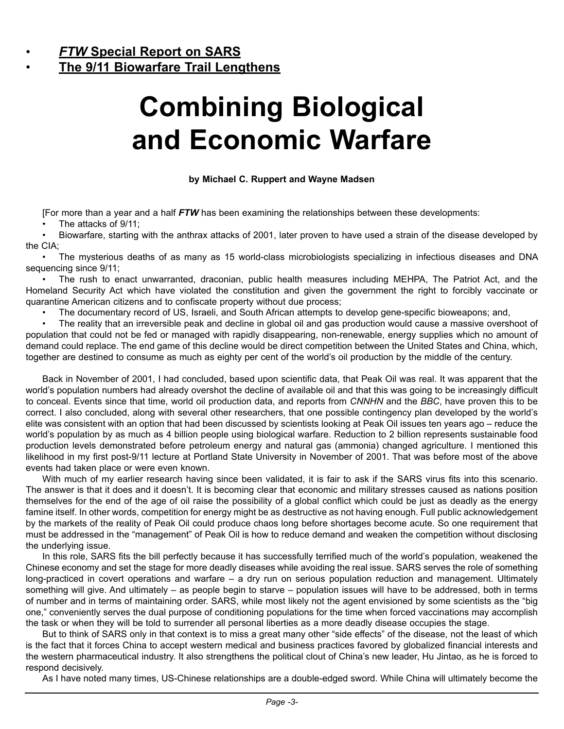### • **The 9/11 Biowarfare Trail Lengthens**

## **Combining Biological and Economic Warfare**

#### **by Michael C. Ruppert and Wayne Madsen**

[For more than a year and a half *FTW* has been examining the relationships between these developments:

• The attacks of 9/11;

• Biowarfare, starting with the anthrax attacks of 2001, later proven to have used a strain of the disease developed by the CIA;

• The mysterious deaths of as many as 15 world-class microbiologists specializing in infectious diseases and DNA sequencing since 9/11;

• The rush to enact unwarranted, draconian, public health measures including MEHPA, The Patriot Act, and the Homeland Security Act which have violated the constitution and given the government the right to forcibly vaccinate or quarantine American citizens and to confiscate property without due process;

• The documentary record of US, Israeli, and South African attempts to develop gene-specific bioweapons; and,

The reality that an irreversible peak and decline in global oil and gas production would cause a massive overshoot of population that could not be fed or managed with rapidly disappearing, non-renewable, energy supplies which no amount of demand could replace. The end game of this decline would be direct competition between the United States and China, which, together are destined to consume as much as eighty per cent of the world's oil production by the middle of the century.

Back in November of 2001, I had concluded, based upon scientific data, that Peak Oil was real. It was apparent that the world's population numbers had already overshot the decline of available oil and that this was going to be increasingly difficult to conceal. Events since that time, world oil production data, and reports from *CNNHN* and the *BBC*, have proven this to be correct. I also concluded, along with several other researchers, that one possible contingency plan developed by the world's elite was consistent with an option that had been discussed by scientists looking at Peak Oil issues ten years ago – reduce the world's population by as much as 4 billion people using biological warfare. Reduction to 2 billion represents sustainable food production levels demonstrated before petroleum energy and natural gas (ammonia) changed agriculture. I mentioned this likelihood in my first post-9/11 lecture at Portland State University in November of 2001. That was before most of the above events had taken place or were even known.

With much of my earlier research having since been validated, it is fair to ask if the SARS virus fits into this scenario. The answer is that it does and it doesn't. It is becoming clear that economic and military stresses caused as nations position themselves for the end of the age of oil raise the possibility of a global conflict which could be just as deadly as the energy famine itself. In other words, competition for energy might be as destructive as not having enough. Full public acknowledgement by the markets of the reality of Peak Oil could produce chaos long before shortages become acute. So one requirement that must be addressed in the "management" of Peak Oil is how to reduce demand and weaken the competition without disclosing the underlying issue.

In this role, SARS fits the bill perfectly because it has successfully terrified much of the world's population, weakened the Chinese economy and set the stage for more deadly diseases while avoiding the real issue. SARS serves the role of something long-practiced in covert operations and warfare – a dry run on serious population reduction and management. Ultimately something will give. And ultimately – as people begin to starve – population issues will have to be addressed, both in terms of number and in terms of maintaining order. SARS, while most likely not the agent envisioned by some scientists as the "big one," conveniently serves the dual purpose of conditioning populations for the time when forced vaccinations may accomplish the task or when they will be told to surrender all personal liberties as a more deadly disease occupies the stage.

But to think of SARS only in that context is to miss a great many other "side effects" of the disease, not the least of which is the fact that it forces China to accept western medical and business practices favored by globalized financial interests and the western pharmaceutical industry. It also strengthens the political clout of China's new leader, Hu Jintao, as he is forced to respond decisively.

As I have noted many times, US-Chinese relationships are a double-edged sword. While China will ultimately become the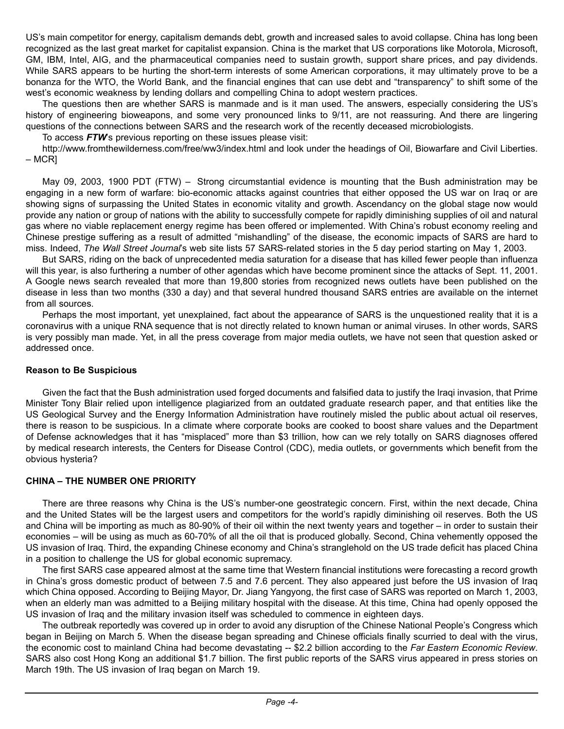US's main competitor for energy, capitalism demands debt, growth and increased sales to avoid collapse. China has long been recognized as the last great market for capitalist expansion. China is the market that US corporations like Motorola, Microsoft, GM, IBM, Intel, AIG, and the pharmaceutical companies need to sustain growth, support share prices, and pay dividends. While SARS appears to be hurting the short-term interests of some American corporations, it may ultimately prove to be a bonanza for the WTO, the World Bank, and the financial engines that can use debt and "transparency" to shift some of the west's economic weakness by lending dollars and compelling China to adopt western practices.

The questions then are whether SARS is manmade and is it man used. The answers, especially considering the US's history of engineering bioweapons, and some very pronounced links to 9/11, are not reassuring. And there are lingering questions of the connections between SARS and the research work of the recently deceased microbiologists.

To access *FTW*'s previous reporting on these issues please visit:

http://www.fromthewilderness.com/free/ww3/index.html and look under the headings of Oil, Biowarfare and Civil Liberties. – MCR]

May 09, 2003, 1900 PDT (FTW) – Strong circumstantial evidence is mounting that the Bush administration may be engaging in a new form of warfare: bio-economic attacks against countries that either opposed the US war on Iraq or are showing signs of surpassing the United States in economic vitality and growth. Ascendancy on the global stage now would provide any nation or group of nations with the ability to successfully compete for rapidly diminishing supplies of oil and natural gas where no viable replacement energy regime has been offered or implemented. With China's robust economy reeling and Chinese prestige suffering as a result of admitted "mishandling" of the disease, the economic impacts of SARS are hard to miss. Indeed, *The Wall Street Journal*'s web site lists 57 SARS-related stories in the 5 day period starting on May 1, 2003.

But SARS, riding on the back of unprecedented media saturation for a disease that has killed fewer people than influenza will this year, is also furthering a number of other agendas which have become prominent since the attacks of Sept. 11, 2001. A Google news search revealed that more than 19,800 stories from recognized news outlets have been published on the disease in less than two months (330 a day) and that several hundred thousand SARS entries are available on the internet from all sources.

Perhaps the most important, yet unexplained, fact about the appearance of SARS is the unquestioned reality that it is a coronavirus with a unique RNA sequence that is not directly related to known human or animal viruses. In other words, SARS is very possibly man made. Yet, in all the press coverage from major media outlets, we have not seen that question asked or addressed once.

#### **Reason to Be Suspicious**

Given the fact that the Bush administration used forged documents and falsified data to justify the Iraqi invasion, that Prime Minister Tony Blair relied upon intelligence plagiarized from an outdated graduate research paper, and that entities like the US Geological Survey and the Energy Information Administration have routinely misled the public about actual oil reserves, there is reason to be suspicious. In a climate where corporate books are cooked to boost share values and the Department of Defense acknowledges that it has "misplaced" more than \$3 trillion, how can we rely totally on SARS diagnoses offered by medical research interests, the Centers for Disease Control (CDC), media outlets, or governments which benefit from the obvious hysteria?

#### **CHINA – THE NUMBER ONE PRIORITY**

There are three reasons why China is the US's number-one geostrategic concern. First, within the next decade, China and the United States will be the largest users and competitors for the world's rapidly diminishing oil reserves. Both the US and China will be importing as much as 80-90% of their oil within the next twenty years and together – in order to sustain their economies – will be using as much as 60-70% of all the oil that is produced globally. Second, China vehemently opposed the US invasion of Iraq. Third, the expanding Chinese economy and China's stranglehold on the US trade deficit has placed China in a position to challenge the US for global economic supremacy.

The first SARS case appeared almost at the same time that Western financial institutions were forecasting a record growth in China's gross domestic product of between 7.5 and 7.6 percent. They also appeared just before the US invasion of Iraq which China opposed. According to Beijing Mayor, Dr. Jiang Yangyong, the first case of SARS was reported on March 1, 2003, when an elderly man was admitted to a Beijing military hospital with the disease. At this time, China had openly opposed the US invasion of Iraq and the military invasion itself was scheduled to commence in eighteen days.

The outbreak reportedly was covered up in order to avoid any disruption of the Chinese National People's Congress which began in Beijing on March 5. When the disease began spreading and Chinese officials finally scurried to deal with the virus, the economic cost to mainland China had become devastating -- \$2.2 billion according to the *Far Eastern Economic Review*. SARS also cost Hong Kong an additional \$1.7 billion. The first public reports of the SARS virus appeared in press stories on March 19th. The US invasion of Iraq began on March 19.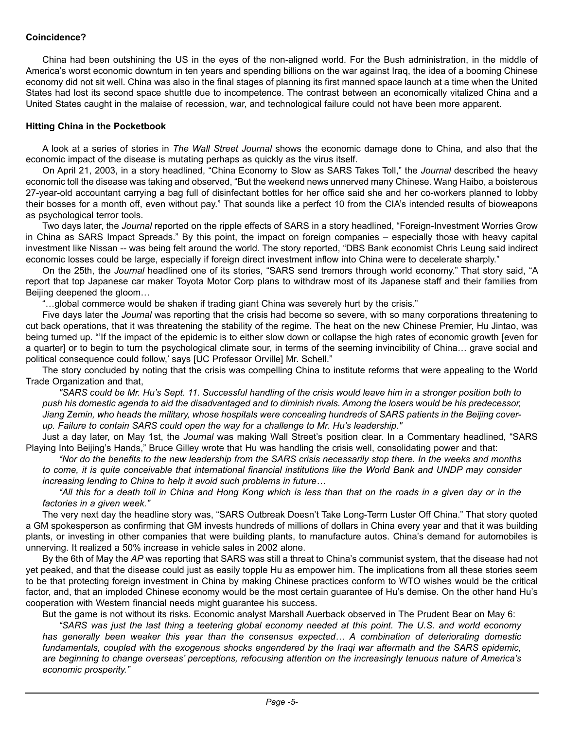China had been outshining the US in the eyes of the non-aligned world. For the Bush administration, in the middle of America's worst economic downturn in ten years and spending billions on the war against Iraq, the idea of a booming Chinese economy did not sit well. China was also in the final stages of planning its first manned space launch at a time when the United States had lost its second space shuttle due to incompetence. The contrast between an economically vitalized China and a United States caught in the malaise of recession, war, and technological failure could not have been more apparent.

#### **Hitting China in the Pocketbook**

A look at a series of stories in *The Wall Street Journal* shows the economic damage done to China, and also that the economic impact of the disease is mutating perhaps as quickly as the virus itself.

On April 21, 2003, in a story headlined, "China Economy to Slow as SARS Takes Toll," the *Journal* described the heavy economic toll the disease was taking and observed, "But the weekend news unnerved many Chinese. Wang Haibo, a boisterous 27-year-old accountant carrying a bag full of disinfectant bottles for her office said she and her co-workers planned to lobby their bosses for a month off, even without pay." That sounds like a perfect 10 from the CIA's intended results of bioweapons as psychological terror tools.

Two days later, the *Journal* reported on the ripple effects of SARS in a story headlined, "Foreign-Investment Worries Grow in China as SARS Impact Spreads." By this point, the impact on foreign companies – especially those with heavy capital investment like Nissan -- was being felt around the world. The story reported, "DBS Bank economist Chris Leung said indirect economic losses could be large, especially if foreign direct investment inflow into China were to decelerate sharply."

On the 25th, the *Journal* headlined one of its stories, "SARS send tremors through world economy." That story said, "A report that top Japanese car maker Toyota Motor Corp plans to withdraw most of its Japanese staff and their families from Beijing deepened the gloom…

"…global commerce would be shaken if trading giant China was severely hurt by the crisis."

Five days later the *Journal* was reporting that the crisis had become so severe, with so many corporations threatening to cut back operations, that it was threatening the stability of the regime. The heat on the new Chinese Premier, Hu Jintao, was being turned up. "'If the impact of the epidemic is to either slow down or collapse the high rates of economic growth [even for a quarter] or to begin to turn the psychological climate sour, in terms of the seeming invincibility of China… grave social and political consequence could follow,' says [UC Professor Orville] Mr. Schell."

The story concluded by noting that the crisis was compelling China to institute reforms that were appealing to the World Trade Organization and that,

*"SARS could be Mr. Hu's Sept. 11. Successful handling of the crisis would leave him in a stronger position both to push his domestic agenda to aid the disadvantaged and to diminish rivals. Among the losers would be his predecessor, Jiang Zemin, who heads the military, whose hospitals were concealing hundreds of SARS patients in the Beijing coverup. Failure to contain SARS could open the way for a challenge to Mr. Hu's leadership."*

Just a day later, on May 1st, the *Journal* was making Wall Street's position clear. In a Commentary headlined, "SARS Playing Into Beijing's Hands," Bruce Gilley wrote that Hu was handling the crisis well, consolidating power and that:

*"Nor do the benefits to the new leadership from the SARS crisis necessarily stop there. In the weeks and months*  to come, it is quite conceivable that international financial institutions like the World Bank and UNDP may consider *increasing lending to China to help it avoid such problems in future…*

*"All this for a death toll in China and Hong Kong which is less than that on the roads in a given day or in the factories in a given week."*

The very next day the headline story was, "SARS Outbreak Doesn't Take Long-Term Luster Off China." That story quoted a GM spokesperson as confirming that GM invests hundreds of millions of dollars in China every year and that it was building plants, or investing in other companies that were building plants, to manufacture autos. China's demand for automobiles is unnerving. It realized a 50% increase in vehicle sales in 2002 alone.

By the 6th of May the *AP* was reporting that SARS was still a threat to China's communist system, that the disease had not yet peaked, and that the disease could just as easily topple Hu as empower him. The implications from all these stories seem to be that protecting foreign investment in China by making Chinese practices conform to WTO wishes would be the critical factor, and, that an imploded Chinese economy would be the most certain guarantee of Hu's demise. On the other hand Hu's cooperation with Western financial needs might guarantee his success.

But the game is not without its risks. Economic analyst Marshall Auerback observed in The Prudent Bear on May 6:

*"SARS was just the last thing a teetering global economy needed at this point. The U.S. and world economy has generally been weaker this year than the consensus expected… A combination of deteriorating domestic fundamentals, coupled with the exogenous shocks engendered by the Iraqi war aftermath and the SARS epidemic, are beginning to change overseas' perceptions, refocusing attention on the increasingly tenuous nature of America's economic prosperity."*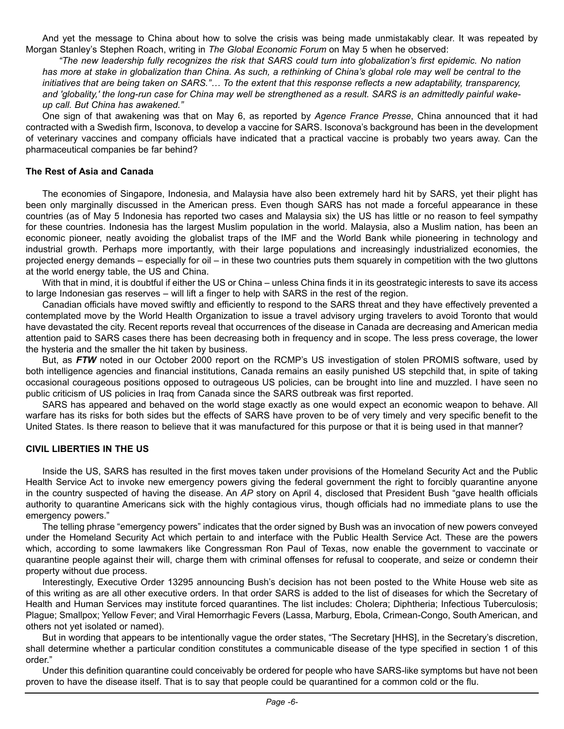And yet the message to China about how to solve the crisis was being made unmistakably clear. It was repeated by Morgan Stanley's Stephen Roach, writing in *The Global Economic Forum* on May 5 when he observed:

*"The new leadership fully recognizes the risk that SARS could turn into globalization's first epidemic. No nation*  has more at stake in globalization than China. As such, a rethinking of China's global role may well be central to the *initiatives that are being taken on SARS."… To the extent that this response reflects a new adaptability, transparency, and 'globality,' the long-run case for China may well be strengthened as a result. SARS is an admittedly painful wakeup call. But China has awakened."* 

One sign of that awakening was that on May 6, as reported by *Agence France Presse*, China announced that it had contracted with a Swedish firm, Isconova, to develop a vaccine for SARS. Isconova's background has been in the development of veterinary vaccines and company officials have indicated that a practical vaccine is probably two years away. Can the pharmaceutical companies be far behind?

#### **The Rest of Asia and Canada**

The economies of Singapore, Indonesia, and Malaysia have also been extremely hard hit by SARS, yet their plight has been only marginally discussed in the American press. Even though SARS has not made a forceful appearance in these countries (as of May 5 Indonesia has reported two cases and Malaysia six) the US has little or no reason to feel sympathy for these countries. Indonesia has the largest Muslim population in the world. Malaysia, also a Muslim nation, has been an economic pioneer, neatly avoiding the globalist traps of the IMF and the World Bank while pioneering in technology and industrial growth. Perhaps more importantly, with their large populations and increasingly industrialized economies, the projected energy demands – especially for oil – in these two countries puts them squarely in competition with the two gluttons at the world energy table, the US and China.

With that in mind, it is doubtful if either the US or China – unless China finds it in its geostrategic interests to save its access to large Indonesian gas reserves – will lift a finger to help with SARS in the rest of the region.

Canadian officials have moved swiftly and efficiently to respond to the SARS threat and they have effectively prevented a contemplated move by the World Health Organization to issue a travel advisory urging travelers to avoid Toronto that would have devastated the city. Recent reports reveal that occurrences of the disease in Canada are decreasing and American media attention paid to SARS cases there has been decreasing both in frequency and in scope. The less press coverage, the lower the hysteria and the smaller the hit taken by business.

But, as *FTW* noted in our October 2000 report on the RCMP's US investigation of stolen PROMIS software, used by both intelligence agencies and financial institutions, Canada remains an easily punished US stepchild that, in spite of taking occasional courageous positions opposed to outrageous US policies, can be brought into line and muzzled. I have seen no public criticism of US policies in Iraq from Canada since the SARS outbreak was first reported.

SARS has appeared and behaved on the world stage exactly as one would expect an economic weapon to behave. All warfare has its risks for both sides but the effects of SARS have proven to be of very timely and very specific benefit to the United States. Is there reason to believe that it was manufactured for this purpose or that it is being used in that manner?

#### **CIVIL LIBERTIES IN THE US**

Inside the US, SARS has resulted in the first moves taken under provisions of the Homeland Security Act and the Public Health Service Act to invoke new emergency powers giving the federal government the right to forcibly quarantine anyone in the country suspected of having the disease. An *AP* story on April 4, disclosed that President Bush "gave health officials authority to quarantine Americans sick with the highly contagious virus, though officials had no immediate plans to use the emergency powers."

The telling phrase "emergency powers" indicates that the order signed by Bush was an invocation of new powers conveyed under the Homeland Security Act which pertain to and interface with the Public Health Service Act. These are the powers which, according to some lawmakers like Congressman Ron Paul of Texas, now enable the government to vaccinate or quarantine people against their will, charge them with criminal offenses for refusal to cooperate, and seize or condemn their property without due process.

Interestingly, Executive Order 13295 announcing Bush's decision has not been posted to the White House web site as of this writing as are all other executive orders. In that order SARS is added to the list of diseases for which the Secretary of Health and Human Services may institute forced quarantines. The list includes: Cholera; Diphtheria; Infectious Tuberculosis; Plague; Smallpox; Yellow Fever; and Viral Hemorrhagic Fevers (Lassa, Marburg, Ebola, Crimean-Congo, South American, and others not yet isolated or named).

But in wording that appears to be intentionally vague the order states, "The Secretary [HHS], in the Secretary's discretion, shall determine whether a particular condition constitutes a communicable disease of the type specified in section 1 of this order."

Under this definition quarantine could conceivably be ordered for people who have SARS-like symptoms but have not been proven to have the disease itself. That is to say that people could be quarantined for a common cold or the flu.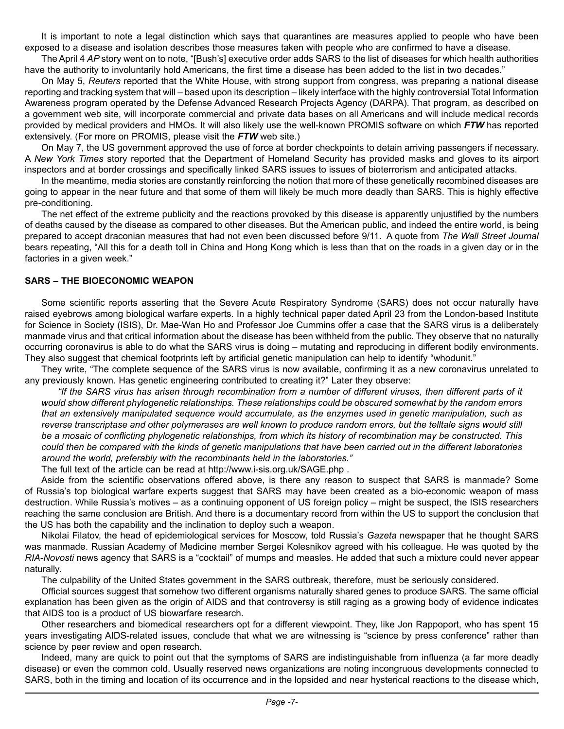It is important to note a legal distinction which says that quarantines are measures applied to people who have been exposed to a disease and isolation describes those measures taken with people who are confirmed to have a disease.

The April 4 *AP* story went on to note, "[Bush's] executive order adds SARS to the list of diseases for which health authorities have the authority to involuntarily hold Americans, the first time a disease has been added to the list in two decades."

On May 5, *Reuters* reported that the White House, with strong support from congress, was preparing a national disease reporting and tracking system that will – based upon its description – likely interface with the highly controversial Total Information Awareness program operated by the Defense Advanced Research Projects Agency (DARPA). That program, as described on a government web site, will incorporate commercial and private data bases on all Americans and will include medical records provided by medical providers and HMOs. It will also likely use the well-known PROMIS software on which *FTW* has reported extensively. (For more on PROMIS, please visit the *FTW* web site.)

On May 7, the US government approved the use of force at border checkpoints to detain arriving passengers if necessary. A *New York Times* story reported that the Department of Homeland Security has provided masks and gloves to its airport inspectors and at border crossings and specifically linked SARS issues to issues of bioterrorism and anticipated attacks.

In the meantime, media stories are constantly reinforcing the notion that more of these genetically recombined diseases are going to appear in the near future and that some of them will likely be much more deadly than SARS. This is highly effective pre-conditioning.

The net effect of the extreme publicity and the reactions provoked by this disease is apparently unjustified by the numbers of deaths caused by the disease as compared to other diseases. But the American public, and indeed the entire world, is being prepared to accept draconian measures that had not even been discussed before 9/11. A quote from *The Wall Street Journal*  bears repeating, "All this for a death toll in China and Hong Kong which is less than that on the roads in a given day or in the factories in a given week."

#### **SARS – THE BIOECONOMIC WEAPON**

Some scientific reports asserting that the Severe Acute Respiratory Syndrome (SARS) does not occur naturally have raised eyebrows among biological warfare experts. In a highly technical paper dated April 23 from the London-based Institute for Science in Society (ISIS), Dr. Mae-Wan Ho and Professor Joe Cummins offer a case that the SARS virus is a deliberately manmade virus and that critical information about the disease has been withheld from the public. They observe that no naturally occurring coronavirus is able to do what the SARS virus is doing – mutating and reproducing in different bodily environments. They also suggest that chemical footprints left by artificial genetic manipulation can help to identify "whodunit."

They write, "The complete sequence of the SARS virus is now available, confirming it as a new coronavirus unrelated to any previously known. Has genetic engineering contributed to creating it?" Later they observe:

*"If the SARS virus has arisen through recombination from a number of different viruses, then different parts of it would show different phylogenetic relationships. These relationships could be obscured somewhat by the random errors that an extensively manipulated sequence would accumulate, as the enzymes used in genetic manipulation, such as*  reverse transcriptase and other polymerases are well known to produce random errors, but the telltale signs would still *be a mosaic of conflicting phylogenetic relationships, from which its history of recombination may be constructed. This could then be compared with the kinds of genetic manipulations that have been carried out in the different laboratories around the world, preferably with the recombinants held in the laboratories."*

The full text of the article can be read at http://www.i-sis.org.uk/SAGE.php .

Aside from the scientific observations offered above, is there any reason to suspect that SARS is manmade? Some of Russia's top biological warfare experts suggest that SARS may have been created as a bio-economic weapon of mass destruction. While Russia's motives – as a continuing opponent of US foreign policy – might be suspect, the ISIS researchers reaching the same conclusion are British. And there is a documentary record from within the US to support the conclusion that the US has both the capability and the inclination to deploy such a weapon.

Nikolai Filatov, the head of epidemiological services for Moscow, told Russia's *Gazeta* newspaper that he thought SARS was manmade. Russian Academy of Medicine member Sergei Kolesnikov agreed with his colleague. He was quoted by the *RIA-Novosti* news agency that SARS is a "cocktail" of mumps and measles. He added that such a mixture could never appear naturally.

The culpability of the United States government in the SARS outbreak, therefore, must be seriously considered.

Official sources suggest that somehow two different organisms naturally shared genes to produce SARS. The same official explanation has been given as the origin of AIDS and that controversy is still raging as a growing body of evidence indicates that AIDS too is a product of US biowarfare research.

Other researchers and biomedical researchers opt for a different viewpoint. They, like Jon Rappoport, who has spent 15 years investigating AIDS-related issues, conclude that what we are witnessing is "science by press conference" rather than science by peer review and open research.

Indeed, many are quick to point out that the symptoms of SARS are indistinguishable from influenza (a far more deadly disease) or even the common cold. Usually reserved news organizations are noting incongruous developments connected to SARS, both in the timing and location of its occurrence and in the lopsided and near hysterical reactions to the disease which,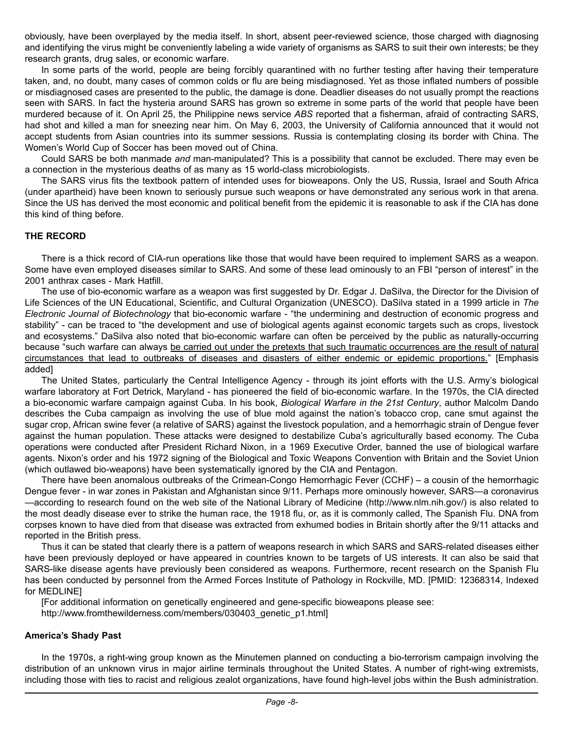obviously, have been overplayed by the media itself. In short, absent peer-reviewed science, those charged with diagnosing and identifying the virus might be conveniently labeling a wide variety of organisms as SARS to suit their own interests; be they research grants, drug sales, or economic warfare.

In some parts of the world, people are being forcibly quarantined with no further testing after having their temperature taken, and, no doubt, many cases of common colds or flu are being misdiagnosed. Yet as those inflated numbers of possible or misdiagnosed cases are presented to the public, the damage is done. Deadlier diseases do not usually prompt the reactions seen with SARS. In fact the hysteria around SARS has grown so extreme in some parts of the world that people have been murdered because of it. On April 25, the Philippine news service *ABS* reported that a fisherman, afraid of contracting SARS, had shot and killed a man for sneezing near him. On May 6, 2003, the University of California announced that it would not accept students from Asian countries into its summer sessions. Russia is contemplating closing its border with China. The Women's World Cup of Soccer has been moved out of China.

Could SARS be both manmade *and* man-manipulated? This is a possibility that cannot be excluded. There may even be a connection in the mysterious deaths of as many as 15 world-class microbiologists.

The SARS virus fits the textbook pattern of intended uses for bioweapons. Only the US, Russia, Israel and South Africa (under apartheid) have been known to seriously pursue such weapons or have demonstrated any serious work in that arena. Since the US has derived the most economic and political benefit from the epidemic it is reasonable to ask if the CIA has done this kind of thing before.

#### **THE RECORD**

There is a thick record of CIA-run operations like those that would have been required to implement SARS as a weapon. Some have even employed diseases similar to SARS. And some of these lead ominously to an FBI "person of interest" in the 2001 anthrax cases - Mark Hatfill.

The use of bio-economic warfare as a weapon was first suggested by Dr. Edgar J. DaSilva, the Director for the Division of Life Sciences of the UN Educational, Scientific, and Cultural Organization (UNESCO). DaSilva stated in a 1999 article in *The Electronic Journal of Biotechnology* that bio-economic warfare - "the undermining and destruction of economic progress and stability" - can be traced to "the development and use of biological agents against economic targets such as crops, livestock and ecosystems." DaSilva also noted that bio-economic warfare can often be perceived by the public as naturally-occurring because "such warfare can always be carried out under the pretexts that such traumatic occurrences are the result of natural circumstances that lead to outbreaks of diseases and disasters of either endemic or epidemic proportions." [Emphasis added]

The United States, particularly the Central Intelligence Agency - through its joint efforts with the U.S. Army's biological warfare laboratory at Fort Detrick, Maryland - has pioneered the field of bio-economic warfare. In the 1970s, the CIA directed a bio-economic warfare campaign against Cuba. In his book, *Biological Warfare in the 21st Century*, author Malcolm Dando describes the Cuba campaign as involving the use of blue mold against the nation's tobacco crop, cane smut against the sugar crop, African swine fever (a relative of SARS) against the livestock population, and a hemorrhagic strain of Dengue fever against the human population. These attacks were designed to destabilize Cuba's agriculturally based economy. The Cuba operations were conducted after President Richard Nixon, in a 1969 Executive Order, banned the use of biological warfare agents. Nixon's order and his 1972 signing of the Biological and Toxic Weapons Convention with Britain and the Soviet Union (which outlawed bio-weapons) have been systematically ignored by the CIA and Pentagon.

There have been anomalous outbreaks of the Crimean-Congo Hemorrhagic Fever (CCHF) – a cousin of the hemorrhagic Dengue fever - in war zones in Pakistan and Afghanistan since 9/11. Perhaps more ominously however, SARS—a coronavirus —according to research found on the web site of the National Library of Medicine (http://www.nlm.nih.gov/) is also related to the most deadly disease ever to strike the human race, the 1918 flu, or, as it is commonly called, The Spanish Flu. DNA from corpses known to have died from that disease was extracted from exhumed bodies in Britain shortly after the 9/11 attacks and reported in the British press.

Thus it can be stated that clearly there is a pattern of weapons research in which SARS and SARS-related diseases either have been previously deployed or have appeared in countries known to be targets of US interests. It can also be said that SARS-like disease agents have previously been considered as weapons. Furthermore, recent research on the Spanish Flu has been conducted by personnel from the Armed Forces Institute of Pathology in Rockville, MD. [PMID: 12368314, Indexed for MEDLINE]

[For additional information on genetically engineered and gene-specific bioweapons please see:

http://www.fromthewilderness.com/members/030403\_genetic\_p1.html]

#### **America's Shady Past**

In the 1970s, a right-wing group known as the Minutemen planned on conducting a bio-terrorism campaign involving the distribution of an unknown virus in major airline terminals throughout the United States. A number of right-wing extremists, including those with ties to racist and religious zealot organizations, have found high-level jobs within the Bush administration.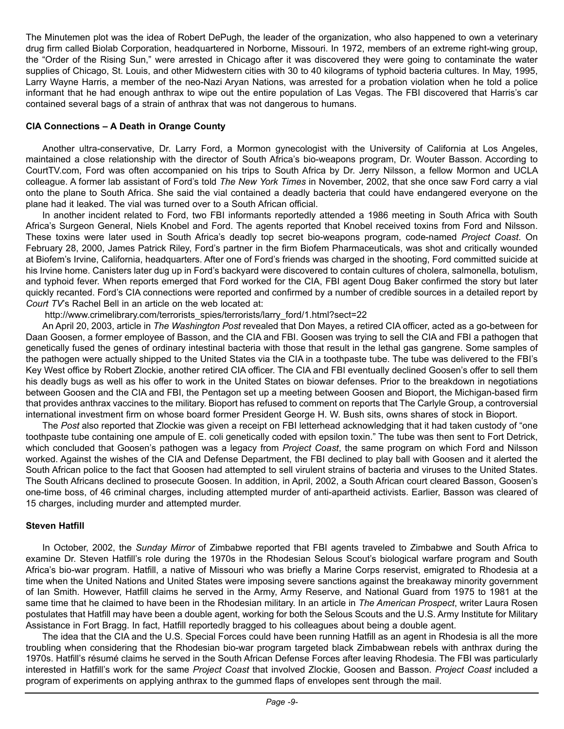The Minutemen plot was the idea of Robert DePugh, the leader of the organization, who also happened to own a veterinary drug firm called Biolab Corporation, headquartered in Norborne, Missouri. In 1972, members of an extreme right-wing group, the "Order of the Rising Sun," were arrested in Chicago after it was discovered they were going to contaminate the water supplies of Chicago, St. Louis, and other Midwestern cities with 30 to 40 kilograms of typhoid bacteria cultures. In May, 1995, Larry Wayne Harris, a member of the neo-Nazi Aryan Nations, was arrested for a probation violation when he told a police informant that he had enough anthrax to wipe out the entire population of Las Vegas. The FBI discovered that Harris's car contained several bags of a strain of anthrax that was not dangerous to humans.

#### **CIA Connections – A Death in Orange County**

Another ultra-conservative, Dr. Larry Ford, a Mormon gynecologist with the University of California at Los Angeles, maintained a close relationship with the director of South Africa's bio-weapons program, Dr. Wouter Basson. According to CourtTV.com, Ford was often accompanied on his trips to South Africa by Dr. Jerry Nilsson, a fellow Mormon and UCLA colleague. A former lab assistant of Ford's told *The New York Times* in November, 2002, that she once saw Ford carry a vial onto the plane to South Africa. She said the vial contained a deadly bacteria that could have endangered everyone on the plane had it leaked. The vial was turned over to a South African official.

In another incident related to Ford, two FBI informants reportedly attended a 1986 meeting in South Africa with South Africa's Surgeon General, Niels Knobel and Ford. The agents reported that Knobel received toxins from Ford and Nilsson. These toxins were later used in South Africa's deadly top secret bio-weapons program, code-named *Project Coast*. On February 28, 2000, James Patrick Riley, Ford's partner in the firm Biofem Pharmaceuticals, was shot and critically wounded at Biofem's Irvine, California, headquarters. After one of Ford's friends was charged in the shooting, Ford committed suicide at his Irvine home. Canisters later dug up in Ford's backyard were discovered to contain cultures of cholera, salmonella, botulism, and typhoid fever. When reports emerged that Ford worked for the CIA, FBI agent Doug Baker confirmed the story but later quickly recanted. Ford's CIA connections were reported and confirmed by a number of credible sources in a detailed report by *Court TV*'s Rachel Bell in an article on the web located at:

#### http://www.crimelibrary.com/terrorists\_spies/terrorists/larry\_ford/1.html?sect=22

An April 20, 2003, article in *The Washington Post* revealed that Don Mayes, a retired CIA officer, acted as a go-between for Daan Goosen, a former employee of Basson, and the CIA and FBI. Goosen was trying to sell the CIA and FBI a pathogen that genetically fused the genes of ordinary intestinal bacteria with those that result in the lethal gas gangrene. Some samples of the pathogen were actually shipped to the United States via the CIA in a toothpaste tube. The tube was delivered to the FBI's Key West office by Robert Zlockie, another retired CIA officer. The CIA and FBI eventually declined Goosen's offer to sell them his deadly bugs as well as his offer to work in the United States on biowar defenses. Prior to the breakdown in negotiations between Goosen and the CIA and FBI, the Pentagon set up a meeting between Goosen and Bioport, the Michigan-based firm that provides anthrax vaccines to the military. Bioport has refused to comment on reports that The Carlyle Group, a controversial international investment firm on whose board former President George H. W. Bush sits, owns shares of stock in Bioport.

The *Post* also reported that Zlockie was given a receipt on FBI letterhead acknowledging that it had taken custody of "one toothpaste tube containing one ampule of E. coli genetically coded with epsilon toxin." The tube was then sent to Fort Detrick, which concluded that Goosen's pathogen was a legacy from *Project Coast*, the same program on which Ford and Nilsson worked. Against the wishes of the CIA and Defense Department, the FBI declined to play ball with Goosen and it alerted the South African police to the fact that Goosen had attempted to sell virulent strains of bacteria and viruses to the United States. The South Africans declined to prosecute Goosen. In addition, in April, 2002, a South African court cleared Basson, Goosen's one-time boss, of 46 criminal charges, including attempted murder of anti-apartheid activists. Earlier, Basson was cleared of 15 charges, including murder and attempted murder.

#### **Steven Hatfill**

In October, 2002, the *Sunday Mirror* of Zimbabwe reported that FBI agents traveled to Zimbabwe and South Africa to examine Dr. Steven Hatfill's role during the 1970s in the Rhodesian Selous Scout's biological warfare program and South Africa's bio-war program. Hatfill, a native of Missouri who was briefly a Marine Corps reservist, emigrated to Rhodesia at a time when the United Nations and United States were imposing severe sanctions against the breakaway minority government of Ian Smith. However, Hatfill claims he served in the Army, Army Reserve, and National Guard from 1975 to 1981 at the same time that he claimed to have been in the Rhodesian military. In an article in *The American Prospect*, writer Laura Rosen postulates that Hatfill may have been a double agent, working for both the Selous Scouts and the U.S. Army Institute for Military Assistance in Fort Bragg. In fact, Hatfill reportedly bragged to his colleagues about being a double agent.

The idea that the CIA and the U.S. Special Forces could have been running Hatfill as an agent in Rhodesia is all the more troubling when considering that the Rhodesian bio-war program targeted black Zimbabwean rebels with anthrax during the 1970s. Hatfill's résumé claims he served in the South African Defense Forces after leaving Rhodesia. The FBI was particularly interested in Hatfill's work for the same *Project Coast* that involved Zlockie, Goosen and Basson. *Project Coast* included a program of experiments on applying anthrax to the gummed flaps of envelopes sent through the mail.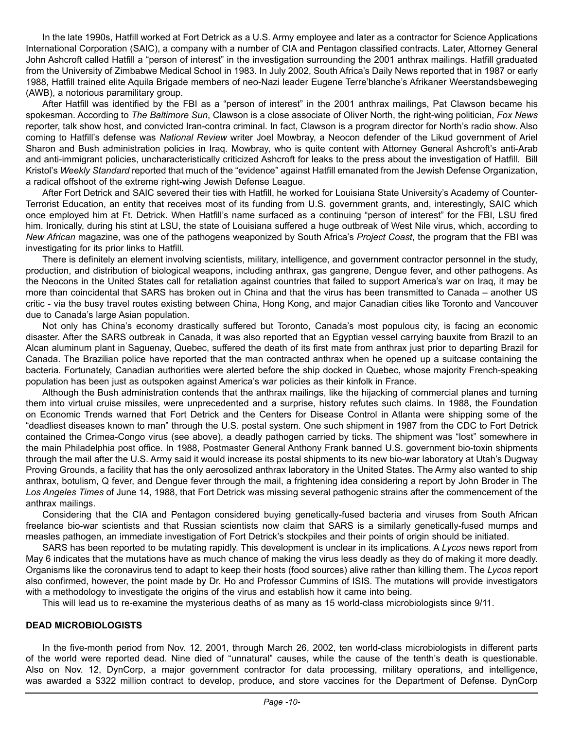In the late 1990s, Hatfill worked at Fort Detrick as a U.S. Army employee and later as a contractor for Science Applications International Corporation (SAIC), a company with a number of CIA and Pentagon classified contracts. Later, Attorney General John Ashcroft called Hatfill a "person of interest" in the investigation surrounding the 2001 anthrax mailings. Hatfill graduated from the University of Zimbabwe Medical School in 1983. In July 2002, South Africa's Daily News reported that in 1987 or early 1988, Hatfill trained elite Aquila Brigade members of neo-Nazi leader Eugene Terre'blanche's Afrikaner Weerstandsbeweging (AWB), a notorious paramilitary group.

After Hatfill was identified by the FBI as a "person of interest" in the 2001 anthrax mailings, Pat Clawson became his spokesman. According to *The Baltimore Sun*, Clawson is a close associate of Oliver North, the right-wing politician, *Fox News* reporter, talk show host, and convicted Iran-contra criminal. In fact, Clawson is a program director for North's radio show. Also coming to Hatfill's defense was *National Review* writer Joel Mowbray, a Neocon defender of the Likud government of Ariel Sharon and Bush administration policies in Iraq. Mowbray, who is quite content with Attorney General Ashcroft's anti-Arab and anti-immigrant policies, uncharacteristically criticized Ashcroft for leaks to the press about the investigation of Hatfill. Bill Kristol's *Weekly Standard* reported that much of the "evidence" against Hatfill emanated from the Jewish Defense Organization, a radical offshoot of the extreme right-wing Jewish Defense League.

After Fort Detrick and SAIC severed their ties with Hatfill, he worked for Louisiana State University's Academy of Counter-Terrorist Education, an entity that receives most of its funding from U.S. government grants, and, interestingly, SAIC which once employed him at Ft. Detrick. When Hatfill's name surfaced as a continuing "person of interest" for the FBI, LSU fired him. Ironically, during his stint at LSU, the state of Louisiana suffered a huge outbreak of West Nile virus, which, according to *New African* magazine, was one of the pathogens weaponized by South Africa's *Project Coast*, the program that the FBI was investigating for its prior links to Hatfill.

There is definitely an element involving scientists, military, intelligence, and government contractor personnel in the study, production, and distribution of biological weapons, including anthrax, gas gangrene, Dengue fever, and other pathogens. As the Neocons in the United States call for retaliation against countries that failed to support America's war on Iraq, it may be more than coincidental that SARS has broken out in China and that the virus has been transmitted to Canada – another US critic - via the busy travel routes existing between China, Hong Kong, and major Canadian cities like Toronto and Vancouver due to Canada's large Asian population.

Not only has China's economy drastically suffered but Toronto, Canada's most populous city, is facing an economic disaster. After the SARS outbreak in Canada, it was also reported that an Egyptian vessel carrying bauxite from Brazil to an Alcan aluminum plant in Saguenay, Quebec, suffered the death of its first mate from anthrax just prior to departing Brazil for Canada. The Brazilian police have reported that the man contracted anthrax when he opened up a suitcase containing the bacteria. Fortunately, Canadian authorities were alerted before the ship docked in Quebec, whose majority French-speaking population has been just as outspoken against America's war policies as their kinfolk in France.

Although the Bush administration contends that the anthrax mailings, like the hijacking of commercial planes and turning them into virtual cruise missiles, were unprecedented and a surprise, history refutes such claims. In 1988, the Foundation on Economic Trends warned that Fort Detrick and the Centers for Disease Control in Atlanta were shipping some of the "deadliest diseases known to man" through the U.S. postal system. One such shipment in 1987 from the CDC to Fort Detrick contained the Crimea-Congo virus (see above), a deadly pathogen carried by ticks. The shipment was "lost" somewhere in the main Philadelphia post office. In 1988, Postmaster General Anthony Frank banned U.S. government bio-toxin shipments through the mail after the U.S. Army said it would increase its postal shipments to its new bio-war laboratory at Utah's Dugway Proving Grounds, a facility that has the only aerosolized anthrax laboratory in the United States. The Army also wanted to ship anthrax, botulism, Q fever, and Dengue fever through the mail, a frightening idea considering a report by John Broder in The *Los Angeles Times* of June 14, 1988, that Fort Detrick was missing several pathogenic strains after the commencement of the anthrax mailings.

Considering that the CIA and Pentagon considered buying genetically-fused bacteria and viruses from South African freelance bio-war scientists and that Russian scientists now claim that SARS is a similarly genetically-fused mumps and measles pathogen, an immediate investigation of Fort Detrick's stockpiles and their points of origin should be initiated.

SARS has been reported to be mutating rapidly. This development is unclear in its implications. A *Lycos* news report from May 6 indicates that the mutations have as much chance of making the virus less deadly as they do of making it more deadly. Organisms like the coronavirus tend to adapt to keep their hosts (food sources) alive rather than killing them. The *Lycos* report also confirmed, however, the point made by Dr. Ho and Professor Cummins of ISIS. The mutations will provide investigators with a methodology to investigate the origins of the virus and establish how it came into being.

This will lead us to re-examine the mysterious deaths of as many as 15 world-class microbiologists since 9/11.

#### **DEAD MICROBIOLOGISTS**

In the five-month period from Nov. 12, 2001, through March 26, 2002, ten world-class microbiologists in different parts of the world were reported dead. Nine died of "unnatural" causes, while the cause of the tenth's death is questionable. Also on Nov. 12, DynCorp, a major government contractor for data processing, military operations, and intelligence, was awarded a \$322 million contract to develop, produce, and store vaccines for the Department of Defense. DynCorp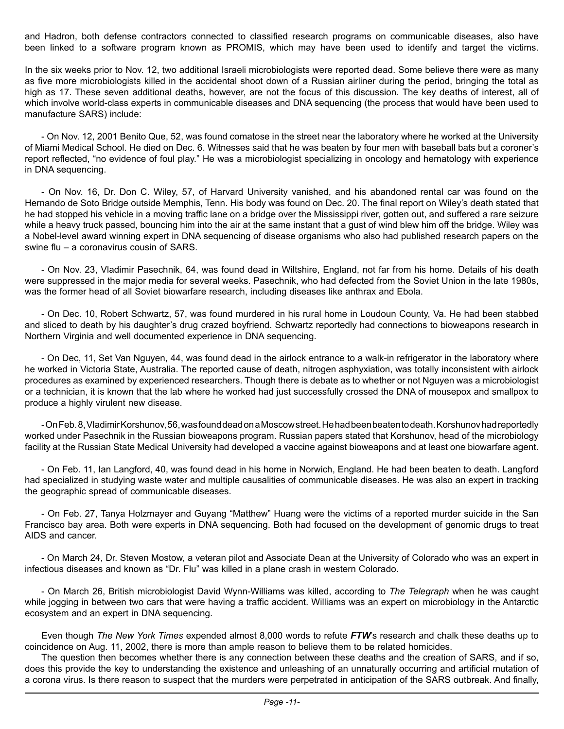and Hadron, both defense contractors connected to classified research programs on communicable diseases, also have been linked to a software program known as PROMIS, which may have been used to identify and target the victims.

In the six weeks prior to Nov. 12, two additional Israeli microbiologists were reported dead. Some believe there were as many as five more microbiologists killed in the accidental shoot down of a Russian airliner during the period, bringing the total as high as 17. These seven additional deaths, however, are not the focus of this discussion. The key deaths of interest, all of which involve world-class experts in communicable diseases and DNA sequencing (the process that would have been used to manufacture SARS) include:

- On Nov. 12, 2001 Benito Que, 52, was found comatose in the street near the laboratory where he worked at the University of Miami Medical School. He died on Dec. 6. Witnesses said that he was beaten by four men with baseball bats but a coroner's report reflected, "no evidence of foul play." He was a microbiologist specializing in oncology and hematology with experience in DNA sequencing.

- On Nov. 16, Dr. Don C. Wiley, 57, of Harvard University vanished, and his abandoned rental car was found on the Hernando de Soto Bridge outside Memphis, Tenn. His body was found on Dec. 20. The final report on Wiley's death stated that he had stopped his vehicle in a moving traffic lane on a bridge over the Mississippi river, gotten out, and suffered a rare seizure while a heavy truck passed, bouncing him into the air at the same instant that a gust of wind blew him off the bridge. Wiley was a Nobel-level award winning expert in DNA sequencing of disease organisms who also had published research papers on the swine flu – a coronavirus cousin of SARS.

- On Nov. 23, Vladimir Pasechnik, 64, was found dead in Wiltshire, England, not far from his home. Details of his death were suppressed in the major media for several weeks. Pasechnik, who had defected from the Soviet Union in the late 1980s, was the former head of all Soviet biowarfare research, including diseases like anthrax and Ebola.

- On Dec. 10, Robert Schwartz, 57, was found murdered in his rural home in Loudoun County, Va. He had been stabbed and sliced to death by his daughter's drug crazed boyfriend. Schwartz reportedly had connections to bioweapons research in Northern Virginia and well documented experience in DNA sequencing.

- On Dec, 11, Set Van Nguyen, 44, was found dead in the airlock entrance to a walk-in refrigerator in the laboratory where he worked in Victoria State, Australia. The reported cause of death, nitrogen asphyxiation, was totally inconsistent with airlock procedures as examined by experienced researchers. Though there is debate as to whether or not Nguyen was a microbiologist or a technician, it is known that the lab where he worked had just successfully crossed the DNA of mousepox and smallpox to produce a highly virulent new disease.

- On Feb. 8, Vladimir Korshunov, 56, was found dead on a Moscow street. He had been beaten to death. Korshunov had reportedly worked under Pasechnik in the Russian bioweapons program. Russian papers stated that Korshunov, head of the microbiology facility at the Russian State Medical University had developed a vaccine against bioweapons and at least one biowarfare agent.

- On Feb. 11, Ian Langford, 40, was found dead in his home in Norwich, England. He had been beaten to death. Langford had specialized in studying waste water and multiple causalities of communicable diseases. He was also an expert in tracking the geographic spread of communicable diseases.

- On Feb. 27, Tanya Holzmayer and Guyang "Matthew" Huang were the victims of a reported murder suicide in the San Francisco bay area. Both were experts in DNA sequencing. Both had focused on the development of genomic drugs to treat AIDS and cancer.

- On March 24, Dr. Steven Mostow, a veteran pilot and Associate Dean at the University of Colorado who was an expert in infectious diseases and known as "Dr. Flu" was killed in a plane crash in western Colorado.

- On March 26, British microbiologist David Wynn-Williams was killed, according to *The Telegraph* when he was caught while jogging in between two cars that were having a traffic accident. Williams was an expert on microbiology in the Antarctic ecosystem and an expert in DNA sequencing.

Even though *The New York Times* expended almost 8,000 words to refute *FTW*'s research and chalk these deaths up to coincidence on Aug. 11, 2002, there is more than ample reason to believe them to be related homicides.

The question then becomes whether there is any connection between these deaths and the creation of SARS, and if so, does this provide the key to understanding the existence and unleashing of an unnaturally occurring and artificial mutation of a corona virus. Is there reason to suspect that the murders were perpetrated in anticipation of the SARS outbreak. And finally,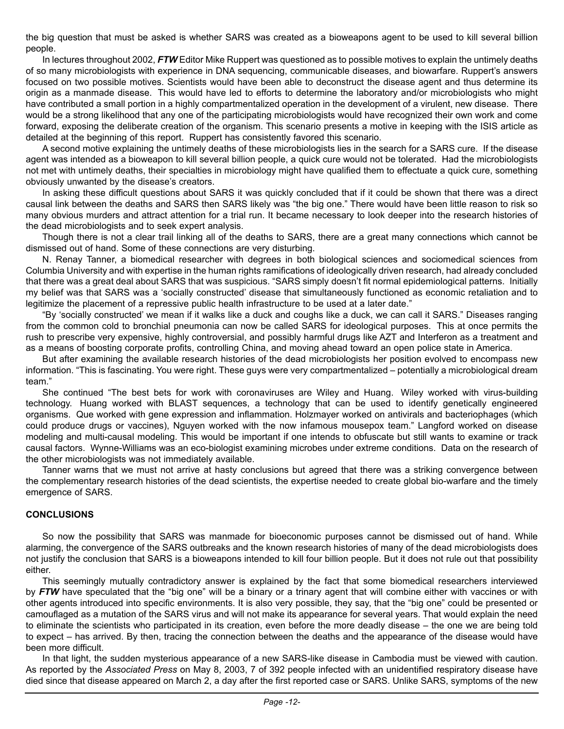the big question that must be asked is whether SARS was created as a bioweapons agent to be used to kill several billion people.

In lectures throughout 2002, *FTW* Editor Mike Ruppert was questioned as to possible motives to explain the untimely deaths of so many microbiologists with experience in DNA sequencing, communicable diseases, and biowarfare. Ruppert's answers focused on two possible motives. Scientists would have been able to deconstruct the disease agent and thus determine its origin as a manmade disease. This would have led to efforts to determine the laboratory and/or microbiologists who might have contributed a small portion in a highly compartmentalized operation in the development of a virulent, new disease. There would be a strong likelihood that any one of the participating microbiologists would have recognized their own work and come forward, exposing the deliberate creation of the organism. This scenario presents a motive in keeping with the ISIS article as detailed at the beginning of this report. Ruppert has consistently favored this scenario.

A second motive explaining the untimely deaths of these microbiologists lies in the search for a SARS cure. If the disease agent was intended as a bioweapon to kill several billion people, a quick cure would not be tolerated. Had the microbiologists not met with untimely deaths, their specialties in microbiology might have qualified them to effectuate a quick cure, something obviously unwanted by the disease's creators.

In asking these difficult questions about SARS it was quickly concluded that if it could be shown that there was a direct causal link between the deaths and SARS then SARS likely was "the big one." There would have been little reason to risk so many obvious murders and attract attention for a trial run. It became necessary to look deeper into the research histories of the dead microbiologists and to seek expert analysis.

Though there is not a clear trail linking all of the deaths to SARS, there are a great many connections which cannot be dismissed out of hand. Some of these connections are very disturbing.

N. Renay Tanner, a biomedical researcher with degrees in both biological sciences and sociomedical sciences from Columbia University and with expertise in the human rights ramifications of ideologically driven research, had already concluded that there was a great deal about SARS that was suspicious. "SARS simply doesn't fit normal epidemiological patterns. Initially my belief was that SARS was a 'socially constructed' disease that simultaneously functioned as economic retaliation and to legitimize the placement of a repressive public health infrastructure to be used at a later date."

"By 'socially constructed' we mean if it walks like a duck and coughs like a duck, we can call it SARS." Diseases ranging from the common cold to bronchial pneumonia can now be called SARS for ideological purposes. This at once permits the rush to prescribe very expensive, highly controversial, and possibly harmful drugs like AZT and Interferon as a treatment and as a means of boosting corporate profits, controlling China, and moving ahead toward an open police state in America.

But after examining the available research histories of the dead microbiologists her position evolved to encompass new information. "This is fascinating. You were right. These guys were very compartmentalized – potentially a microbiological dream team."

She continued "The best bets for work with coronaviruses are Wiley and Huang. Wiley worked with virus-building technology. Huang worked with BLAST sequences, a technology that can be used to identify genetically engineered organisms. Que worked with gene expression and inflammation. Holzmayer worked on antivirals and bacteriophages (which could produce drugs or vaccines), Nguyen worked with the now infamous mousepox team." Langford worked on disease modeling and multi-causal modeling. This would be important if one intends to obfuscate but still wants to examine or track causal factors. Wynne-Williams was an eco-biologist examining microbes under extreme conditions. Data on the research of the other microbiologists was not immediately available.

Tanner warns that we must not arrive at hasty conclusions but agreed that there was a striking convergence between the complementary research histories of the dead scientists, the expertise needed to create global bio-warfare and the timely emergence of SARS.

#### **CONCLUSIONS**

So now the possibility that SARS was manmade for bioeconomic purposes cannot be dismissed out of hand. While alarming, the convergence of the SARS outbreaks and the known research histories of many of the dead microbiologists does not justify the conclusion that SARS is a bioweapons intended to kill four billion people. But it does not rule out that possibility either.

This seemingly mutually contradictory answer is explained by the fact that some biomedical researchers interviewed by **FTW** have speculated that the "big one" will be a binary or a trinary agent that will combine either with vaccines or with other agents introduced into specific environments. It is also very possible, they say, that the "big one" could be presented or camouflaged as a mutation of the SARS virus and will not make its appearance for several years. That would explain the need to eliminate the scientists who participated in its creation, even before the more deadly disease – the one we are being told to expect – has arrived. By then, tracing the connection between the deaths and the appearance of the disease would have been more difficult.

In that light, the sudden mysterious appearance of a new SARS-like disease in Cambodia must be viewed with caution. As reported by the *Associated Press* on May 8, 2003, 7 of 392 people infected with an unidentified respiratory disease have died since that disease appeared on March 2, a day after the first reported case or SARS. Unlike SARS, symptoms of the new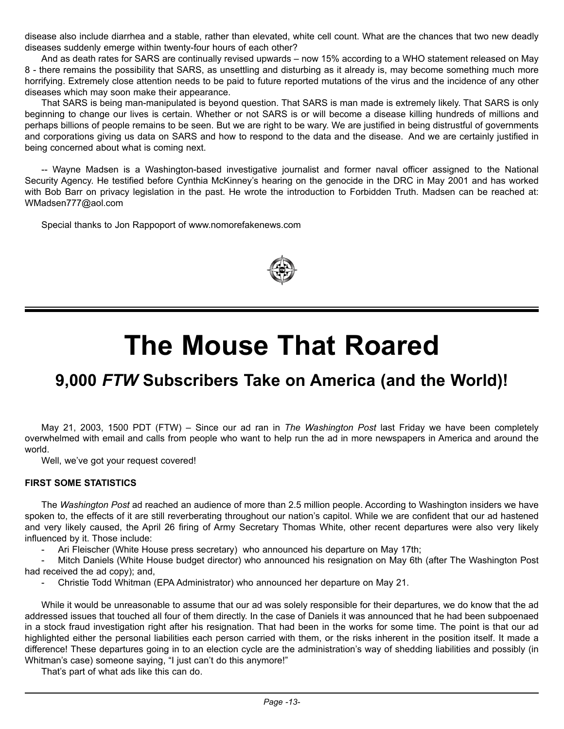disease also include diarrhea and a stable, rather than elevated, white cell count. What are the chances that two new deadly diseases suddenly emerge within twenty-four hours of each other?

And as death rates for SARS are continually revised upwards – now 15% according to a WHO statement released on May 8 - there remains the possibility that SARS, as unsettling and disturbing as it already is, may become something much more horrifying. Extremely close attention needs to be paid to future reported mutations of the virus and the incidence of any other diseases which may soon make their appearance.

That SARS is being man-manipulated is beyond question. That SARS is man made is extremely likely. That SARS is only beginning to change our lives is certain. Whether or not SARS is or will become a disease killing hundreds of millions and perhaps billions of people remains to be seen. But we are right to be wary. We are justified in being distrustful of governments and corporations giving us data on SARS and how to respond to the data and the disease. And we are certainly justified in being concerned about what is coming next.

-- Wayne Madsen is a Washington-based investigative journalist and former naval officer assigned to the National Security Agency. He testified before Cynthia McKinney's hearing on the genocide in the DRC in May 2001 and has worked with Bob Barr on privacy legislation in the past. He wrote the introduction to Forbidden Truth. Madsen can be reached at: WMadsen777@aol.com

Special thanks to Jon Rappoport o[f www.nomorefakenews.com](http://www.nomorefakenews.com/)



## **The Mouse That Roared**

### **9,000** *FTW* **Subscribers Take on America (and the World)!**

May 21, 2003, 1500 PDT (FTW) – Since our ad ran in *The Washington Post* last Friday we have been completely overwhelmed with email and calls from people who want to help run the ad in more newspapers in America and around the world.

Well, we've got your request covered!

#### **FIRST SOME STATISTICS**

The *Washington Post* ad reached an audience of more than 2.5 million people. According to Washington insiders we have spoken to, the effects of it are still reverberating throughout our nation's capitol. While we are confident that our ad hastened and very likely caused, the April 26 firing of Army Secretary Thomas White, other recent departures were also very likely influenced by it. Those include:

Ari Fleischer (White House press secretary) who announced his departure on May 17th;

- Mitch Daniels (White House budget director) who announced his resignation on May 6th (after The Washington Post had received the ad copy); and,

- Christie Todd Whitman (EPA Administrator) who announced her departure on May 21.

While it would be unreasonable to assume that our ad was solely responsible for their departures, we do know that the ad addressed issues that touched all four of them directly. In the case of Daniels it was announced that he had been subpoenaed in a stock fraud investigation right after his resignation. That had been in the works for some time. The point is that our ad highlighted either the personal liabilities each person carried with them, or the risks inherent in the position itself. It made a difference! These departures going in to an election cycle are the administration's way of shedding liabilities and possibly (in Whitman's case) someone saying, "I just can't do this anymore!"

That's part of what ads like this can do.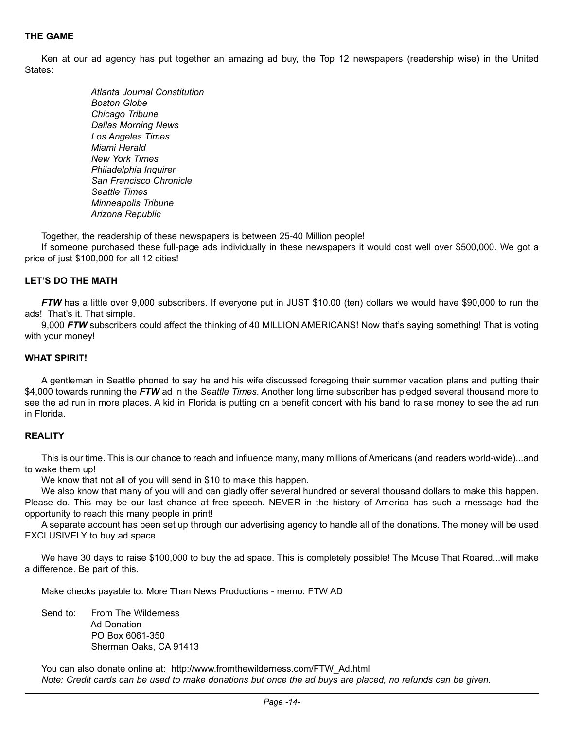Ken at our ad agency has put together an amazing ad buy, the Top 12 newspapers (readership wise) in the United States:

> *Atlanta Journal Constitution Boston Globe Chicago Tribune Dallas Morning News Los Angeles Times Miami Herald New York Times Philadelphia Inquirer San Francisco Chronicle Seattle Times Minneapolis Tribune Arizona Republic*

Together, the readership of these newspapers is between 25-40 Million people!

If someone purchased these full-page ads individually in these newspapers it would cost well over \$500,000. We got a price of just \$100,000 for all 12 cities!

#### **LET'S DO THE MATH**

*FTW* has a little over 9,000 subscribers. If everyone put in JUST \$10.00 (ten) dollars we would have \$90,000 to run the ads! That's it. That simple.

9,000 FTW subscribers could affect the thinking of 40 MILLION AMERICANS! Now that's saying something! That is voting with your money!

#### **WHAT SPIRIT!**

A gentleman in Seattle phoned to say he and his wife discussed foregoing their summer vacation plans and putting their \$4,000 towards running the *FTW* ad in the *Seattle Times*. Another long time subscriber has pledged several thousand more to see the ad run in more places. A kid in Florida is putting on a benefit concert with his band to raise money to see the ad run in Florida.

#### **REALITY**

This is our time. This is our chance to reach and influence many, many millions of Americans (and readers world-wide)...and to wake them up!

We know that not all of you will send in \$10 to make this happen.

We also know that many of you will and can gladly offer several hundred or several thousand dollars to make this happen. Please do. This may be our last chance at free speech. NEVER in the history of America has such a message had the opportunity to reach this many people in print!

A separate account has been set up through our advertising agency to handle all of the donations. The money will be used EXCLUSIVELY to buy ad space.

We have 30 days to raise \$100,000 to buy the ad space. This is completely possible! The Mouse That Roared...will make a difference. Be part of this.

Make checks payable to: More Than News Productions - memo: FTW AD

Send to: From The Wilderness Ad Donation PO Box 6061-350 Sherman Oaks, CA 91413

You can also donate online at: http://www.fromthewilderness.com/FTW\_Ad.html *Note: Credit cards can be used to make donations but once the ad buys are placed, no refunds can be given.*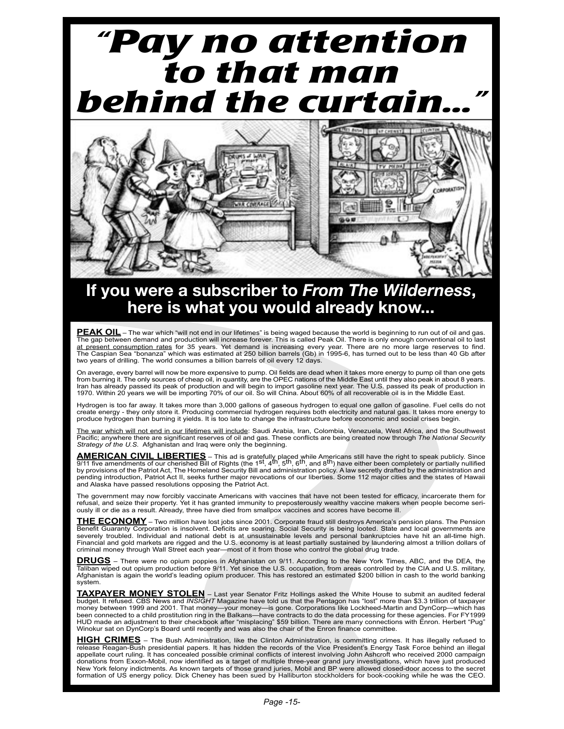

### **If you were a subscriber to** *From The Wilderness***, here is what you would already know...**

**PEAK OIL** – The war which "will not end in our lifetimes" is being waged because the world is beginning to run out of oil and gas. The gap between demand and production will increase forever. This is called Peak Oil. There is only enough conventional oil to last at present consumption rates for 35 years. Yet demand is increasing every year. There are no more large reserves to find.<br>The Caspian Sea "bonanza" which was estimated at 250 billion barrels (Gb) in 1995-6, has turned out two years of drilling. The world consumes a billion barrels of oil every 12 days.

On average, every barrel will now be more expensive to pump. Oil fields are dead when it takes more energy to pump oil than one gets<br>from burning it. The only sources of cheap oil, in quantity, are the OPEC nations of the Iran has already passed its peak of production and will begin to import gasoline next year. The U.S. passed its peak of production in 1970. Within 20 years we will be importing 70% of our oil. So will China. About 60% of all recoverable oil is in the Middle East.

Hydrogen is too far away. It takes more than 3,000 gallons of gaseous hydrogen to equal one gallon of gasoline. Fuel cells do not create energy - they only store it. Producing commercial hydrogen requires both electricity and natural gas. It takes more energy to produce hydrogen than burning it yields. It is too late to change the infrastructure before economic and social crises begin.

<u>The war which will not end in our lifetimes will include</u>: Saudi Arabia, Iran, Colombia, Venezuela, West Africa, and the Southwest<br>Pacific; anywhere there are significant reserves of oil and gas. These conflicts are being *Strategy of the U.S*. Afghanistan and Iraq were only the beginning.

**AMERICAN CIVIL LIBERTIES** – This ad is gratefully placed while Americans still have the right to speak publicly. Since<br>9/11 five amendments of our cherished Bill of Rights (the 1<sup>st</sup>, 4<sup>th</sup>, 5<sup>th</sup>, 6<sup>th</sup>, and 8<sup>th</sup>) have by provisions of the Patriot Act, The Homeland Security Bill and administration policy. A law secretly drafted by the administration and pending introduction, Patriot Act II, seeks further major revocations of our liberties. Some 112 major cities and the states of Hawaii and Alaska have passed resolutions opposing the Patriot Act.

The government may now forcibly vaccinate Americans with vaccines that have not been tested for efficacy, incarcerate them for refusal, and seize their property. Yet it has granted immunity to preposterously wealthy vaccine makers when people become seriously ill or die as a result. Already, three have died from smallpox vaccines and scores have become ill.

**THE ECONOMY** – Two million have lost jobs since 2001. Corporate fraud still destroys America's pension plans. The Pension Benefit Guaranty Corporation is insolvent. Deficits are soaring. Social Security is being looted. State and local governments are<br>severely troubled. Individual and national debt is at unsustainable levels and personal bank criminal money through Wall Street each year—most of it from those who control the global drug trade.

**DRUGS** – There were no opium poppies in Afghanistan on 9/11. According to the New York Times, ABC, and the DEA, the<br>Taliban wiped out opium production before 9/11. Yet since the U.S. occupation, from areas controlled by t Afghanistan is again the world's leading opium producer. This has restored an estimated \$200 billion in cash to the world banking system.

TAXPAYER\_MONEY\_STOLEN – Last year Senator Fritz Hollings asked the White House to submit an audited federal<br>budget. It refused. CBS News and *INSIGHT* Magazine have told us that the Pentagon has "lost" more than \$3.3 trill money between 1999 and 2001. That money—your money—is gone. Corporations like Lockheed-Martin and DynCorp—which has<br>been connected to a child prostitution ring in the Balkans—have contracts to do the data processing for th HUD made an adjustment to their checkbook after "misplacing" \$59 billion. There are many connections with Enron. Herbert "Pug" Winokur sat on DynCorp's Board until recently and was also the chair of the Enron finance committee.

HIGH\_CRIMES – The Bush Administration, like the Clinton Administration, is committing crimes. It has illegally refused to<br>release Reagan-Bush presidential papers. It has hidden the records of the Vice President's Energy Ta appellate court ruling. It has concealed possible criminal conflicts of interest involving John Ashcroft who received 2000 campaign donations from Exxon-Mobil, now identified as a target of multiple three-year grand jury investigations, which have just produced<br>New York felony indictments. As known targets of those grand juries, Mobil and BP were allow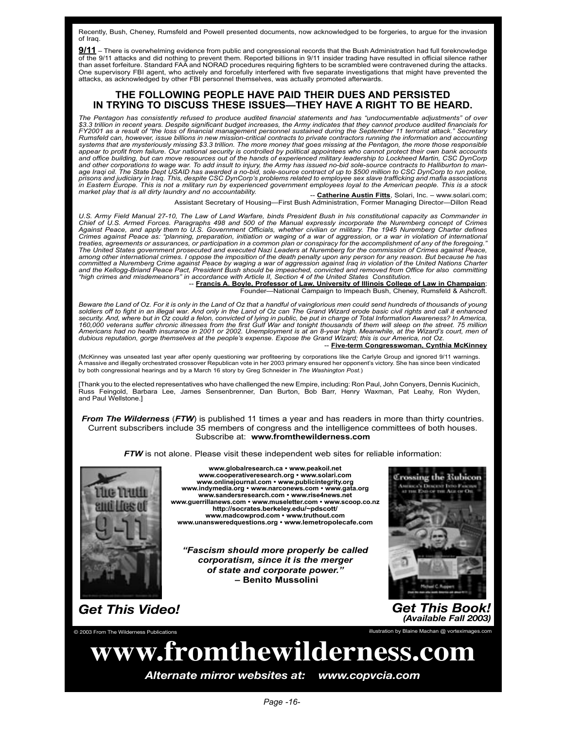Recently, Bush, Cheney, Rumsfeld and Powell presented documents, now acknowledged to be forgeries, to argue for the invasion of Iraq.

**9/11** – There is overwhelming evidence from public and congressional records that the Bush Administration had full foreknowledge of the 9/11 attacks and did nothing to prevent them. Reported billions in 9/11 insider trading have resulted in official silence rather than asset forfeiture. Standard FAA and NORAD procedures requiring fighters to be scrambled were contravened during the attacks. One supervisory FBI agent, who actively and forcefully interfered with five separate investigations that might have prevented the attacks, as acknowledged by other FBI personnel themselves, was actually promoted afterwards.

#### **THE FOLLOWING PEOPLE HAVE PAID THEIR DUES AND PERSISTED IN TRYING TO DISCUSS THESE ISSUES—THEY HAVE A RIGHT TO BE HEARD.**

*The Pentagon has consistently refused to produce audited financial statements and has "undocumentable adjustments" of over \$3.3 trillion in recent years. Despite significant budget increases, the Army indicates that they cannot produce audited financials for*  FY2001 as a result of "the loss of financial management personnel sustained during the September 11 terrorist attack." Secretary<br>Rumsfeld can, however, issue billions in new mission-critical contracts to private contractor *systems that are mysteriously missing \$3.3 trillion. The more money that goes missing at the Pentagon, the more those responsible*  appear to profit from failure. Our national security is controlled by political appointees who cannot protect their own bank accounts<br>and office building, but can move resources out of the hands of experienced military lea *and other corporations to wage war. To add insult to injury, the Army has issued no-bid sole-source contracts to Halliburton to manage Iraqi oil. The State Dept USAID has awarded a no-bid, sole-source contract of up to \$500 million to CSC DynCorp to run police, prisons and judiciary in Iraq. This, despite CSC DynCorp's problems related to employee sex slave trafficking and mafia associations*  in Eastern Europe. This is not a military run by experienced government employees loyal to the American people. This is a stock<br>market play that is all dirty laundry and no accountability. \_\_\_\_\_\_\_\_\_\_\_\_\_\_\_\_\_\_\_\_\_\_\_\_\_\_\_\_\_\_\_\_\_

nary and no accountability.<br>Assistant Secretary of Housing—First Bush Administration, Former Managing Director—Dillon Read

*U.S. Army Field Manual 27-10, The Law of Land Warfare, binds President Bush in his constitutional capacity as Commander in*  Chief of U.S. Armed Forces. Paragraphs 498 and 500 of the Manual expressly incorporate the Nuremberg concept of Crimes<br>Against Peace, and apply them to U.S. Government Officials, whether civilian or military. The 1945 Nure *The United States government prosecuted and executed Nazi Leaders at Nuremberg for the commission of Crimes against Peace, among other international crimes. I oppose the imposition of the death penalty upon any person for any reason. But because he has*  committed a Nuremberg Crime against Peace by waging a war of aggression against Íraq in violation of the United Nations Charter<br>and the Kellogg-Briand Peace Pact, President Bush should be impeached, convicted and removed f *"high crimes and misdemeanors" in accordance with Article II, Section 4 of the United States Constitution.* -- **Francis A. Boyle, Professor of Law, University of Illinois College of Law in Champaign**;

Founder—National Campaign to Impeach Bush, Cheney, Rumsfeld & Ashcroft.

Beware the Land of Oz. For it is only in the Land of Oz that a handful of vainglorious men could send hundreds of thousands of young<br>soldiers off to fight in an illegal war. And only in the Land of Oz can The Grand Wizard security. And, where but in Oz could a felon, convicted of lying in public, be put in charge of Total Information Awareness? In America,<br>160,000 veterans suffer chronic illnesses from the first Gulf War and tonight thousan Americans had no health insurance in 2001 or 2002. Unemployment is at an 8-year high. Meanwhile, at the Wizard's court, men of<br>dubious reputation, gorge themselves at the people's expense. Expose the Grand Wizard; this is

#### -- **Five-term Congresswoman, Cynthia McKinney**

(McKinney was unseated last year after openly questioning war profiteering by corporations like the Carlyle Group and ignored 9/11 warnings.<br>A massive and illegally orchestrated crossover Republican vote in her 2003 primar by both congressional hearings and by a March 16 story by Greg Schneider in *The Washington Post.*)

[Thank you to the elected representatives who have challenged the new Empire, including: Ron Paul, John Conyers, Dennis Kucinich, Russ Feingold, Barbara Lee, James Sensenbrenner, Dan Burton, Bob Barr, Henry Waxman, Pat Leahy, Ron Wyden, and Paul Wellstone.]

*From The Wilderness* (*FTW*) is published 11 times a year and has readers in more than thirty countries. Current subscribers include 35 members of congress and the intelligence committees of both houses. Subscribe at: **www.fromthewilderness.com**

*FTW* is not alone. Please visit these independent web sites for reliable information:



**www.globalresearch.ca • www.peakoil.net www.cooperativeresearch.org • www.solari.com www.onlinejournal.com • www.publicintegrity.org www.indymedia.org • www.narconews.com • www.gata.org www.sandersresearch.com • www.rise4news.net www.guerrillanews.com • www.museletter.com • www.scoop.co.nz http://socrates.berkeley.edu/~pdscott/ www.madcowprod.com • www.truthout.com www.unansweredquestions.org • www.lemetropolecafe.com**

*"Fascism should more properly be called corporatism, since it is the merger of state and corporate power." –* **Benito Mussolini**





© 2003 From The Wilderness Publications

illustration by Blaine Machan @ vorteximages.com

## **www.fromthewilderness.com**

*Alternate mirror websites at: www.copvcia.com*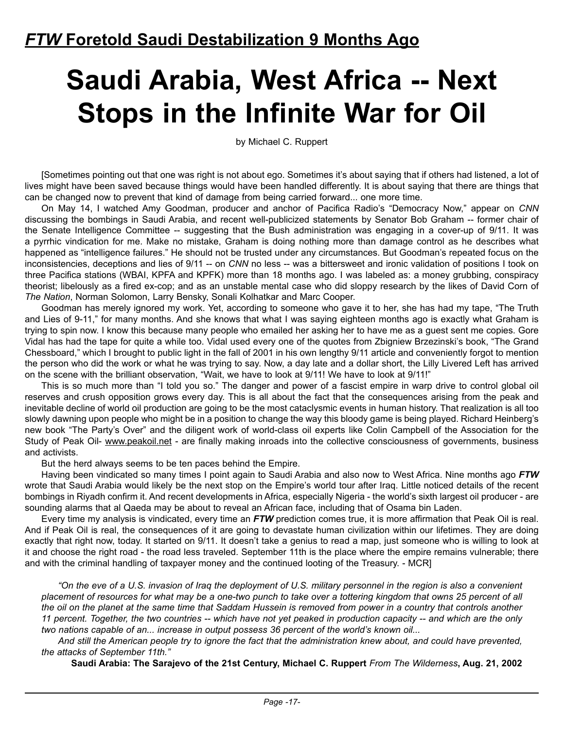## **Saudi Arabia, West Africa -- Next Stops in the Infinite War for Oil**

by Michael C. Ruppert

[Sometimes pointing out that one was right is not about ego. Sometimes it's about saying that if others had listened, a lot of lives might have been saved because things would have been handled differently. It is about saying that there are things that can be changed now to prevent that kind of damage from being carried forward... one more time.

On May 14, I watched Amy Goodman, producer and anchor of Pacifica Radio's "Democracy Now," appear on *CNN*  discussing the bombings in Saudi Arabia, and recent well-publicized statements by Senator Bob Graham -- former chair of the Senate Intelligence Committee -- suggesting that the Bush administration was engaging in a cover-up of 9/11. It was a pyrrhic vindication for me. Make no mistake, Graham is doing nothing more than damage control as he describes what happened as "intelligence failures." He should not be trusted under any circumstances. But Goodman's repeated focus on the inconsistencies, deceptions and lies of 9/11 -- on *CNN* no less -- was a bittersweet and ironic validation of positions I took on three Pacifica stations (WBAI, KPFA and KPFK) more than 18 months ago. I was labeled as: a money grubbing, conspiracy theorist; libelously as a fired ex-cop; and as an unstable mental case who did sloppy research by the likes of David Corn of *The Nation*, Norman Solomon, Larry Bensky, Sonali Kolhatkar and Marc Cooper.

Goodman has merely ignored my work. Yet, according to someone who gave it to her, she has had my tape, "The Truth and Lies of 9-11," for many months. And she knows that what I was saying eighteen months ago is exactly what Graham is trying to spin now. I know this because many people who emailed her asking her to have me as a guest sent me copies. Gore Vidal has had the tape for quite a while too. Vidal used every one of the quotes from Zbigniew Brzezinski's book, "The Grand Chessboard," which I brought to public light in the fall of 2001 in his own lengthy 9/11 article and conveniently forgot to mention the person who did the work or what he was trying to say. Now, a day late and a dollar short, the Lilly Livered Left has arrived on the scene with the brilliant observation, "Wait, we have to look at 9/11! We have to look at 9/11!"

This is so much more than "I told you so." The danger and power of a fascist empire in warp drive to control global oil reserves and crush opposition grows every day. This is all about the fact that the consequences arising from the peak and inevitable decline of world oil production are going to be the most cataclysmic events in human history. That realization is all too slowly dawning upon people who might be in a position to change the way this bloody game is being played. Richard Heinberg's new book "The Party's Over" and the diligent work of world-class oil experts like Colin Campbell of the Association for the Study of Peak Oil- www.peakoil.net - are finally making inroads into the collective consciousness of governments, business and activists.

But the herd always seems to be ten paces behind the Empire.

Having been vindicated so many times I point again to Saudi Arabia and also now to West Africa. Nine months ago *FTW* wrote that Saudi Arabia would likely be the next stop on the Empire's world tour after Iraq. Little noticed details of the recent bombings in Riyadh confirm it. And recent developments in Africa, especially Nigeria - the world's sixth largest oil producer - are sounding alarms that al Qaeda may be about to reveal an African face, including that of Osama bin Laden.

Every time my analysis is vindicated, every time an *FTW* prediction comes true, it is more affirmation that Peak Oil is real. And if Peak Oil is real, the consequences of it are going to devastate human civilization within our lifetimes. They are doing exactly that right now, today. It started on 9/11. It doesn't take a genius to read a map, just someone who is willing to look at it and choose the right road - the road less traveled. September 11th is the place where the empire remains vulnerable; there and with the criminal handling of taxpayer money and the continued looting of the Treasury. - MCR]

*"On the eve of a U.S. invasion of Iraq the deployment of U.S. military personnel in the region is also a convenient*  placement of resources for what may be a one-two punch to take over a tottering kingdom that owns 25 percent of all *the oil on the planet at the same time that Saddam Hussein is removed from power in a country that controls another 11 percent. Together, the two countries -- which have not yet peaked in production capacity -- and which are the only two nations capable of an... increase in output possess 36 percent of the world's known oil...*

*And still the American people try to ignore the fact that the administration knew about, and could have prevented, the attacks of September 11th."*

**Saudi Arabia: The Sarajevo of the 21st Century, Michael C. Ruppert** *From The Wilderness***, Aug. 21, 2002**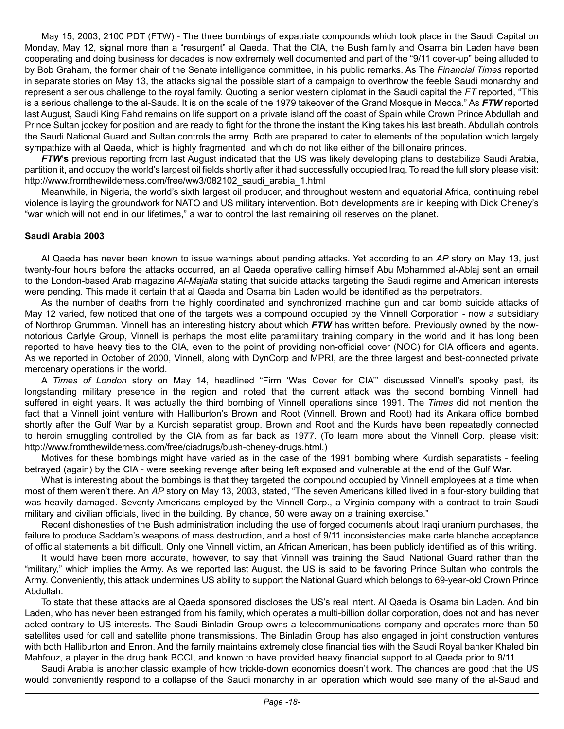May 15, 2003, 2100 PDT (FTW) - The three bombings of expatriate compounds which took place in the Saudi Capital on Monday, May 12, signal more than a "resurgent" al Qaeda. That the CIA, the Bush family and Osama bin Laden have been cooperating and doing business for decades is now extremely well documented and part of the "9/11 cover-up" being alluded to by Bob Graham, the former chair of the Senate intelligence committee, in his public remarks. As The *Financial Times* reported in separate stories on May 13, the attacks signal the possible start of a campaign to overthrow the feeble Saudi monarchy and represent a serious challenge to the royal family. Quoting a senior western diplomat in the Saudi capital the *FT* reported, "This is a serious challenge to the al-Sauds. It is on the scale of the 1979 takeover of the Grand Mosque in Mecca." As *FTW* reported last August, Saudi King Fahd remains on life support on a private island off the coast of Spain while Crown Prince Abdullah and Prince Sultan jockey for position and are ready to fight for the throne the instant the King takes his last breath. Abdullah controls the Saudi National Guard and Sultan controls the army. Both are prepared to cater to elements of the population which largely sympathize with al Qaeda, which is highly fragmented, and which do not like either of the billionaire princes.

*FTW***'s** previous reporting from last August indicated that the US was likely developing plans to destabilize Saudi Arabia, partition it, and occupy the world's largest oil fields shortly after it had successfully occupied Iraq. To read the full story please visit: http://www.fromthewilderness.com/free/ww3/082102\_saudi\_arabia\_1.html

Meanwhile, in Nigeria, the world's sixth largest oil producer, and throughout western and equatorial Africa, continuing rebel violence is laying the groundwork for NATO and US military intervention. Both developments are in keeping with Dick Cheney's "war which will not end in our lifetimes," a war to control the last remaining oil reserves on the planet.

#### **Saudi Arabia 2003**

Al Qaeda has never been known to issue warnings about pending attacks. Yet according to an *AP* story on May 13, just twenty-four hours before the attacks occurred, an al Qaeda operative calling himself Abu Mohammed al-Ablaj sent an email to the London-based Arab magazine *Al-Majalla* stating that suicide attacks targeting the Saudi regime and American interests were pending. This made it certain that al Qaeda and Osama bin Laden would be identified as the perpetrators.

As the number of deaths from the highly coordinated and synchronized machine gun and car bomb suicide attacks of May 12 varied, few noticed that one of the targets was a compound occupied by the Vinnell Corporation - now a subsidiary of Northrop Grumman. Vinnell has an interesting history about which *FTW* has written before. Previously owned by the nownotorious Carlyle Group, Vinnell is perhaps the most elite paramilitary training company in the world and it has long been reported to have heavy ties to the CIA, even to the point of providing non-official cover (NOC) for CIA officers and agents. As we reported in October of 2000, Vinnell, along with DynCorp and MPRI, are the three largest and best-connected private mercenary operations in the world.

A *Times of London* story on May 14, headlined "Firm 'Was Cover for CIA'" discussed Vinnell's spooky past, its longstanding military presence in the region and noted that the current attack was the second bombing Vinnell had suffered in eight years. It was actually the third bombing of Vinnell operations since 1991. The *Times* did not mention the fact that a Vinnell joint venture with Halliburton's Brown and Root (Vinnell, Brown and Root) had its Ankara office bombed shortly after the Gulf War by a Kurdish separatist group. Brown and Root and the Kurds have been repeatedly connected to heroin smuggling controlled by the CIA from as far back as 1977. (To learn more about the Vinnell Corp. please visit: http://www.fromthewilderness.com/free/ciadrugs/bush-cheney-drugs.html.)

Motives for these bombings might have varied as in the case of the 1991 bombing where Kurdish separatists - feeling betrayed (again) by the CIA - were seeking revenge after being left exposed and vulnerable at the end of the Gulf War.

What is interesting about the bombings is that they targeted the compound occupied by Vinnell employees at a time when most of them weren't there. An *AP* story on May 13, 2003, stated, "The seven Americans killed lived in a four-story building that was heavily damaged. Seventy Americans employed by the Vinnell Corp., a Virginia company with a contract to train Saudi military and civilian officials, lived in the building. By chance, 50 were away on a training exercise."

Recent dishonesties of the Bush administration including the use of forged documents about Iraqi uranium purchases, the failure to produce Saddam's weapons of mass destruction, and a host of 9/11 inconsistencies make carte blanche acceptance of official statements a bit difficult. Only one Vinnell victim, an African American, has been publicly identified as of this writing.

It would have been more accurate, however, to say that Vinnell was training the Saudi National Guard rather than the "military," which implies the Army. As we reported last August, the US is said to be favoring Prince Sultan who controls the Army. Conveniently, this attack undermines US ability to support the National Guard which belongs to 69-year-old Crown Prince Abdullah.

To state that these attacks are al Qaeda sponsored discloses the US's real intent. Al Qaeda is Osama bin Laden. And bin Laden, who has never been estranged from his family, which operates a multi-billion dollar corporation, does not and has never acted contrary to US interests. The Saudi Binladin Group owns a telecommunications company and operates more than 50 satellites used for cell and satellite phone transmissions. The Binladin Group has also engaged in joint construction ventures with both Halliburton and Enron. And the family maintains extremely close financial ties with the Saudi Royal banker Khaled bin Mahfouz, a player in the drug bank BCCI, and known to have provided heavy financial support to al Qaeda prior to 9/11.

Saudi Arabia is another classic example of how trickle-down economics doesn't work. The chances are good that the US would conveniently respond to a collapse of the Saudi monarchy in an operation which would see many of the al-Saud and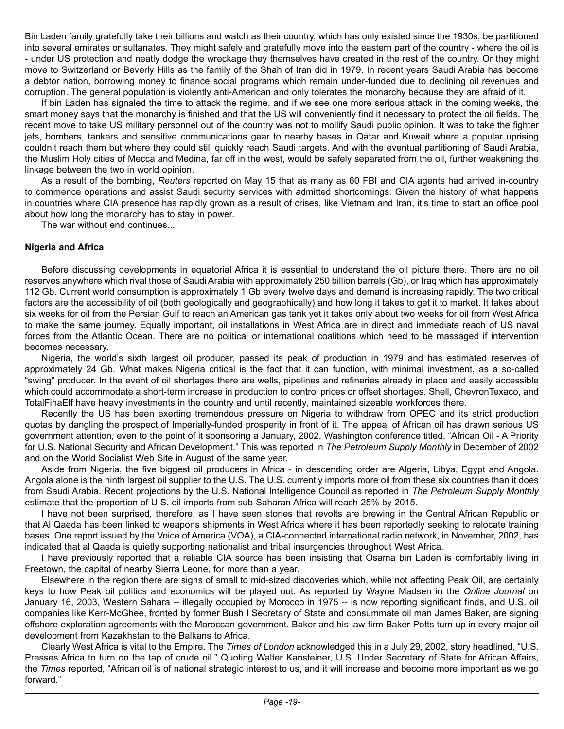Bin Laden family gratefully take their billions and watch as their country, which has only existed since the 1930s, be partitioned into several emirates or sultanates. They might safely and gratefully move into the eastern part of the country - where the oil is - under US protection and neatly dodge the wreckage they themselves have created in the rest of the country. Or they might move to Switzerland or Beverly Hills as the family of the Shah of Iran did in 1979. In recent years Saudi Arabia has become a debtor nation, borrowing money to finance social programs which remain under-funded due to declining oil revenues and corruption. The general population is violently anti-American and only tolerates the monarchy because they are afraid of it.

If bin Laden has signaled the time to attack the regime, and if we see one more serious attack in the coming weeks, the smart money says that the monarchy is finished and that the US will conveniently find it necessary to protect the oil fields. The recent move to take US military personnel out of the country was not to mollify Saudi public opinion. It was to take the fighter jets, bombers, tankers and sensitive communications gear to nearby bases in Qatar and Kuwait where a popular uprising couldn't reach them but where they could still quickly reach Saudi targets. And with the eventual partitioning of Saudi Arabia, the Muslim Holy cities of Mecca and Medina, far off in the west, would be safely separated from the oil, further weakening the linkage between the two in world opinion.

As a result of the bombing, *Reuters* reported on May 15 that as many as 60 FBI and CIA agents had arrived in-country to commence operations and assist Saudi security services with admitted shortcomings. Given the history of what happens in countries where CIA presence has rapidly grown as a result of crises, like Vietnam and Iran, it's time to start an office pool about how long the monarchy has to stay in power.

The war without end continues...

#### **Nigeria and Africa**

Before discussing developments in equatorial Africa it is essential to understand the oil picture there. There are no oil reserves anywhere which rival those of Saudi Arabia with approximately 250 billion barrels (Gb), or Iraq which has approximately 112 Gb. Current world consumption is approximately 1 Gb every twelve days and demand is increasing rapidly. The two critical factors are the accessibility of oil (both geologically and geographically) and how long it takes to get it to market. It takes about six weeks for oil from the Persian Gulf to reach an American gas tank yet it takes only about two weeks for oil from West Africa to make the same journey. Equally important, oil installations in West Africa are in direct and immediate reach of US naval forces from the Atlantic Ocean. There are no political or international coalitions which need to be massaged if intervention becomes necessary.

Nigeria, the world's sixth largest oil producer, passed its peak of production in 1979 and has estimated reserves of approximately 24 Gb. What makes Nigeria critical is the fact that it can function, with minimal investment, as a so-called "swing" producer. In the event of oil shortages there are wells, pipelines and refineries already in place and easily accessible which could accommodate a short-term increase in production to control prices or offset shortages. Shell, ChevronTexaco, and TotalFinaElf have heavy investments in the country and until recently, maintained sizeable workforces there.

Recently the US has been exerting tremendous pressure on Nigeria to withdraw from OPEC and its strict production quotas by dangling the prospect of Imperially-funded prosperity in front of it. The appeal of African oil has drawn serious US government attention, even to the point of it sponsoring a January, 2002, Washington conference titled, "African Oil - A Priority for U.S. National Security and African Development." This was reported in *The Petroleum Supply Monthly* in December of 2002 and on the World Socialist Web Site in August of the same year.

Aside from Nigeria, the five biggest oil producers in Africa - in descending order are Algeria, Libya, Egypt and Angola. Angola alone is the ninth largest oil supplier to the U.S. The U.S. currently imports more oil from these six countries than it does from Saudi Arabia. Recent projections by the U.S. National Intelligence Council as reported in *The Petroleum Supply Monthly*  estimate that the proportion of U.S. oil imports from sub-Saharan Africa will reach 25% by 2015.

I have not been surprised, therefore, as I have seen stories that revolts are brewing in the Central African Republic or that Al Qaeda has been linked to weapons shipments in West Africa where it has been reportedly seeking to relocate training bases. One report issued by the Voice of America (VOA), a CIA-connected international radio network, in November, 2002, has indicated that al Qaeda is quietly supporting nationalist and tribal insurgencies throughout West Africa.

I have previously reported that a reliable CIA source has been insisting that Osama bin Laden is comfortably living in Freetown, the capital of nearby Sierra Leone, for more than a year.

Elsewhere in the region there are signs of small to mid-sized discoveries which, while not affecting Peak Oil, are certainly keys to how Peak oil politics and economics will be played out. As reported by Wayne Madsen in the *Online Journal* on January 16, 2003, Western Sahara -- illegally occupied by Morocco in 1975 -- is now reporting significant finds, and U.S. oil companies like Kerr-McGhee, fronted by former Bush I Secretary of State and consummate oil man James Baker, are signing offshore exploration agreements with the Moroccan government. Baker and his law firm Baker-Potts turn up in every major oil development from Kazakhstan to the Balkans to Africa.

Clearly West Africa is vital to the Empire. The *Times of London* acknowledged this in a July 29, 2002, story headlined, "U.S. Presses Africa to turn on the tap of crude oil." Quoting Walter Kansteiner, U.S. Under Secretary of State for African Affairs, the *Times* reported, "African oil is of national strategic interest to us, and it will increase and become more important as we go forward."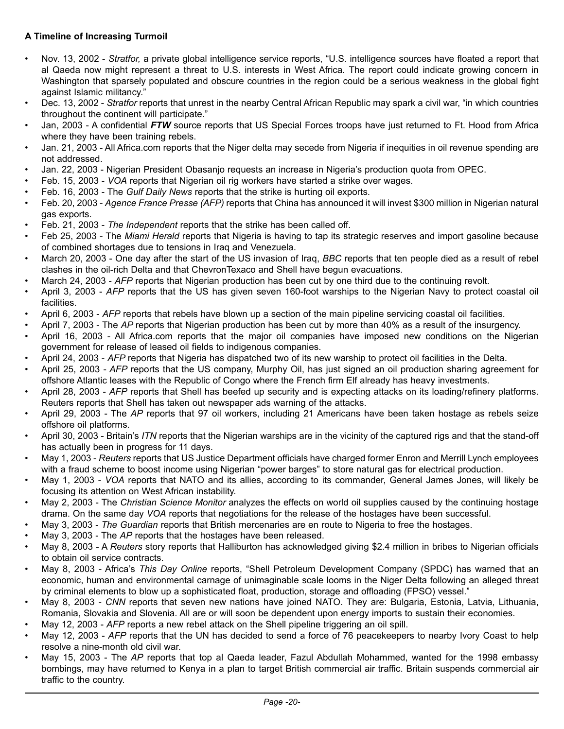#### **A Timeline of Increasing Turmoil**

- Nov. 13, 2002 *Stratfor,* a private global intelligence service reports, "U.S. intelligence sources have floated a report that al Qaeda now might represent a threat to U.S. interests in West Africa. The report could indicate growing concern in Washington that sparsely populated and obscure countries in the region could be a serious weakness in the global fight against Islamic militancy."
- Dec. 13, 2002 *Stratfor* reports that unrest in the nearby Central African Republic may spark a civil war, "in which countries throughout the continent will participate."
- Jan, 2003 A confidential *FTW* source reports that US Special Forces troops have just returned to Ft. Hood from Africa where they have been training rebels.
- Jan. 21, 2003 All Africa.com reports that the Niger delta may secede from Nigeria if inequities in oil revenue spending are not addressed.
- Jan. 22, 2003 Nigerian President Obasanjo requests an increase in Nigeria's production quota from OPEC.
- Feb. 15, 2003 *VOA* reports that Nigerian oil rig workers have started a strike over wages.
- Feb. 16, 2003 The *Gulf Daily News* reports that the strike is hurting oil exports.
- Feb. 20, 2003 *Agence France Presse (AFP)* reports that China has announced it will invest \$300 million in Nigerian natural gas exports.
- Feb. 21, 2003 *The Independent* reports that the strike has been called off.
- Feb 25, 2003 The *Miami Herald* reports that Nigeria is having to tap its strategic reserves and import gasoline because of combined shortages due to tensions in Iraq and Venezuela.
- March 20, 2003 One day after the start of the US invasion of Iraq, *BBC* reports that ten people died as a result of rebel clashes in the oil-rich Delta and that ChevronTexaco and Shell have begun evacuations.
- March 24, 2003 *AFP* reports that Nigerian production has been cut by one third due to the continuing revolt.
- April 3, 2003 *AFP* reports that the US has given seven 160-foot warships to the Nigerian Navy to protect coastal oil facilities.
- April 6, 2003 *AFP* reports that rebels have blown up a section of the main pipeline servicing coastal oil facilities.
- April 7, 2003 The *AP* reports that Nigerian production has been cut by more than 40% as a result of the insurgency.
- April 16, 2003 All Africa.com reports that the major oil companies have imposed new conditions on the Nigerian government for release of leased oil fields to indigenous companies.
- April 24, 2003 *AFP* reports that Nigeria has dispatched two of its new warship to protect oil facilities in the Delta.
- April 25, 2003 - *AFP* reports that the US company, Murphy Oil, has just signed an oil production sharing agreement for offshore Atlantic leases with the Republic of Congo where the French firm Elf already has heavy investments.
- April 28, 2003 *AFP* reports that Shell has beefed up security and is expecting attacks on its loading/refinery platforms. Reuters reports that Shell has taken out newspaper ads warning of the attacks.
- April 29, 2003 The *AP* reports that 97 oil workers, including 21 Americans have been taken hostage as rebels seize offshore oil platforms.
- April 30, 2003 Britain's *ITN* reports that the Nigerian warships are in the vicinity of the captured rigs and that the stand-off has actually been in progress for 11 days.
- May 1, 2003 *Reuters* reports that US Justice Department officials have charged former Enron and Merrill Lynch employees with a fraud scheme to boost income using Nigerian "power barges" to store natural gas for electrical production.
- May 1, 2003 *VOA* reports that NATO and its allies, according to its commander, General James Jones, will likely be focusing its attention on West African instability.
- May 2, 2003 The *Christian Science Monitor* analyzes the effects on world oil supplies caused by the continuing hostage drama. On the same day *VOA* reports that negotiations for the release of the hostages have been successful.
- May 3, 2003 *The Guardian* reports that British mercenaries are en route to Nigeria to free the hostages.
- May 3, 2003 The *AP* reports that the hostages have been released.
- May 8, 2003 A *Reuters* story reports that Halliburton has acknowledged giving \$2.4 million in bribes to Nigerian officials to obtain oil service contracts.
- May 8, 2003 Africa's *This Day Online* reports, "Shell Petroleum Development Company (SPDC) has warned that an economic, human and environmental carnage of unimaginable scale looms in the Niger Delta following an alleged threat by criminal elements to blow up a sophisticated float, production, storage and offloading (FPSO) vessel."
- May 8, 2003 *CNN* reports that seven new nations have joined NATO. They are: Bulgaria, Estonia, Latvia, Lithuania, Romania, Slovakia and Slovenia. All are or will soon be dependent upon energy imports to sustain their economies.
- May 12, 2003 *AFP* reports a new rebel attack on the Shell pipeline triggering an oil spill.
- May 12, 2003 *AFP* reports that the UN has decided to send a force of 76 peacekeepers to nearby Ivory Coast to help resolve a nine-month old civil war.
- May 15, 2003 The *AP* reports that top al Qaeda leader, Fazul Abdullah Mohammed, wanted for the 1998 embassy bombings, may have returned to Kenya in a plan to target British commercial air traffic. Britain suspends commercial air traffic to the country.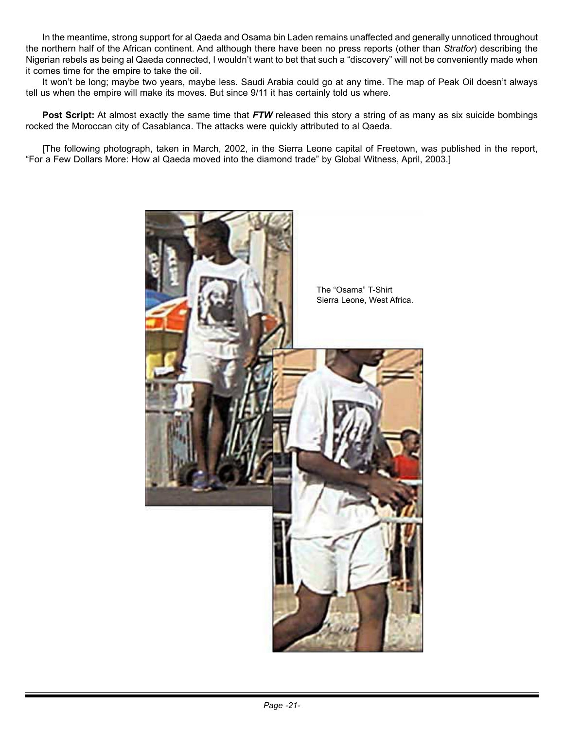In the meantime, strong support for al Qaeda and Osama bin Laden remains unaffected and generally unnoticed throughout the northern half of the African continent. And although there have been no press reports (other than *Stratfor*) describing the Nigerian rebels as being al Qaeda connected, I wouldn't want to bet that such a "discovery" will not be conveniently made when it comes time for the empire to take the oil.

It won't be long; maybe two years, maybe less. Saudi Arabia could go at any time. The map of Peak Oil doesn't always tell us when the empire will make its moves. But since 9/11 it has certainly told us where.

**Post Script:** At almost exactly the same time that *FTW* released this story a string of as many as six suicide bombings rocked the Moroccan city of Casablanca. The attacks were quickly attributed to al Qaeda.

[The following photograph, taken in March, 2002, in the Sierra Leone capital of Freetown, was published in the report, "For a Few Dollars More: How al Qaeda moved into the diamond trade" by Global Witness, April, 2003.]